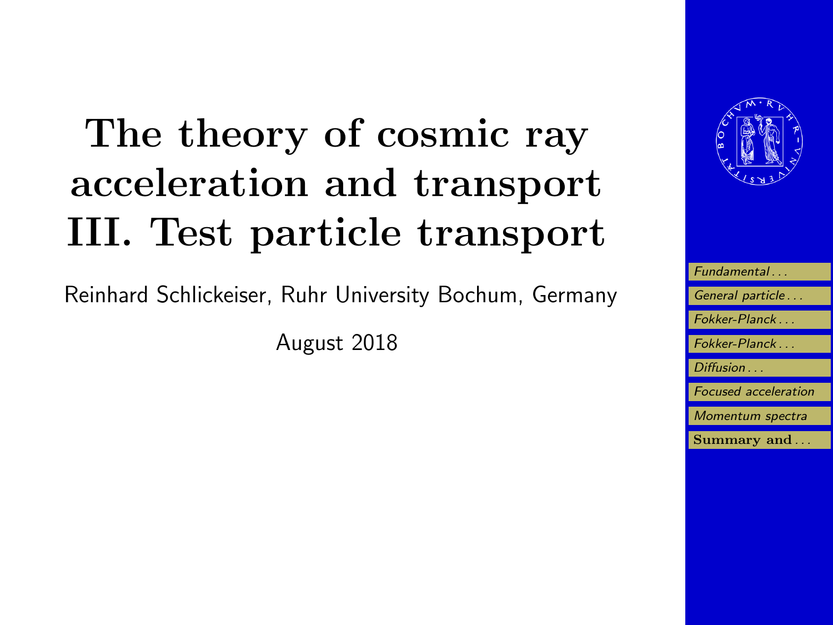# The theory of cosmic ray acceleration and transport III. Test particle transport

Reinhard Schlickeiser, Ruhr University Bochum, Germany

August 2018



| Fundamental                 |
|-----------------------------|
| General particle            |
| Fokker-Planck               |
| Fokker-Planck               |
|                             |
| Diffusion                   |
| <b>Focused</b> acceleration |
| Momentum spectra            |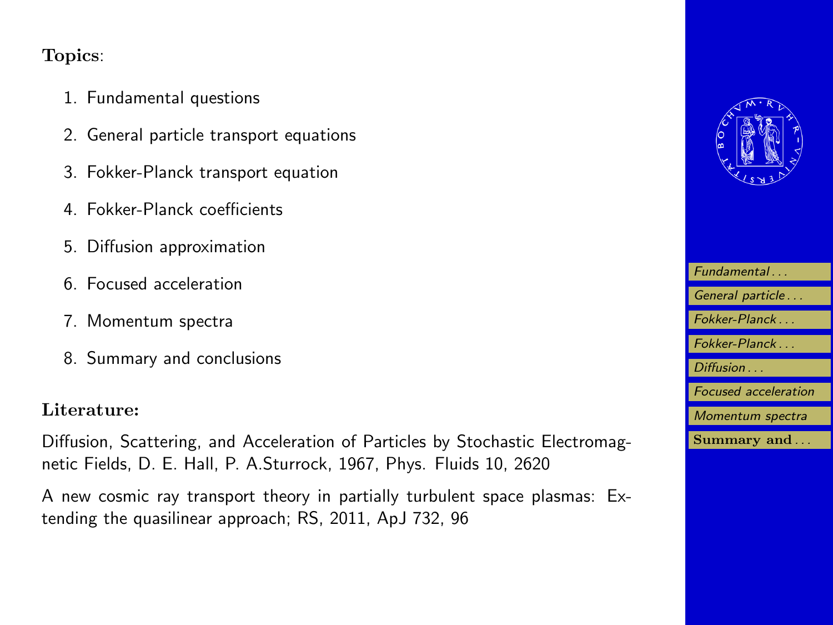### Topics:

- 1. Fundamental questions
- 2. General particle transport equations
- 3. Fokker-Planck transport equation
- 4. Fokker-Planck coefficients
- 5. Diffusion approximation
- 6. Focused acceleration
- 7. Momentum spectra
- 8. Summary and conclusions

### Literature:

Diffusion, Scattering, and Acceleration of Particles by Stochastic Electromagnetic Fields, D. E. Hall, P. A.Sturrock, 1967, Phys. Fluids 10, 2620

A new cosmic ray transport theory in partially turbulent space plasmas: Extending the quasilinear approach; RS, 2011, ApJ 732, 96



| Fundamental                 |
|-----------------------------|
| General particle            |
| Fokker-Planck               |
| Fokker-Planck               |
| Diffusion                   |
| <b>Focused</b> acceleration |
| Momentum spectra            |
| Summary and                 |
|                             |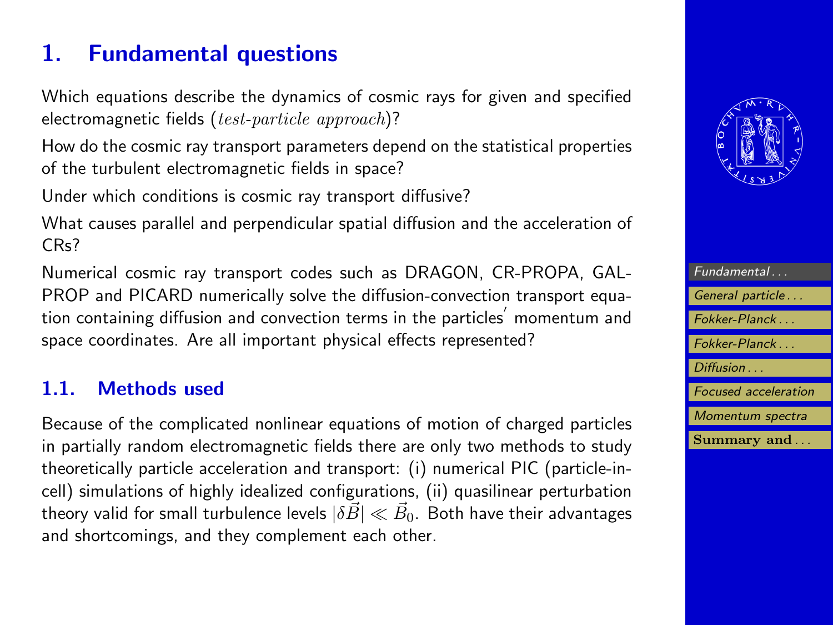# <span id="page-2-0"></span>1. Fundamental questions

Which equations describe the dynamics of cosmic rays for given and specified electromagnetic fields  $(test-particle\ approach)?$ 

How do the cosmic ray transport parameters depend on the statistical properties of the turbulent electromagnetic fields in space?

Under which conditions is cosmic ray transport diffusive?

What causes parallel and perpendicular spatial diffusion and the acceleration of CRs?

Numerical cosmic ray transport codes such as DRAGON, CR-PROPA, GAL-PROP and PICARD numerically solve the diffusion-convection transport equation containing diffusion and convection terms in the particles $^{'}$  momentum and space coordinates. Are all important physical effects represented?

### 1.1. Methods used

Because of the complicated nonlinear equations of motion of charged particles in partially random electromagnetic fields there are only two methods to study theoretically particle acceleration and transport: (i) numerical PIC (particle-incell) simulations of highly idealized configurations, (ii) quasilinear perturbation theory valid for small turbulence levels  $|\delta\vec{B}|\ll\vec{B}_{0}$ . Both have their advantages and shortcomings, and they complement each other.



| Fundamental                 |
|-----------------------------|
| General particle            |
| Fokker-Planck               |
| Fokker-Planck               |
| Diffusion                   |
| <b>Focused</b> acceleration |
| Momentum spectra            |
| Summary and                 |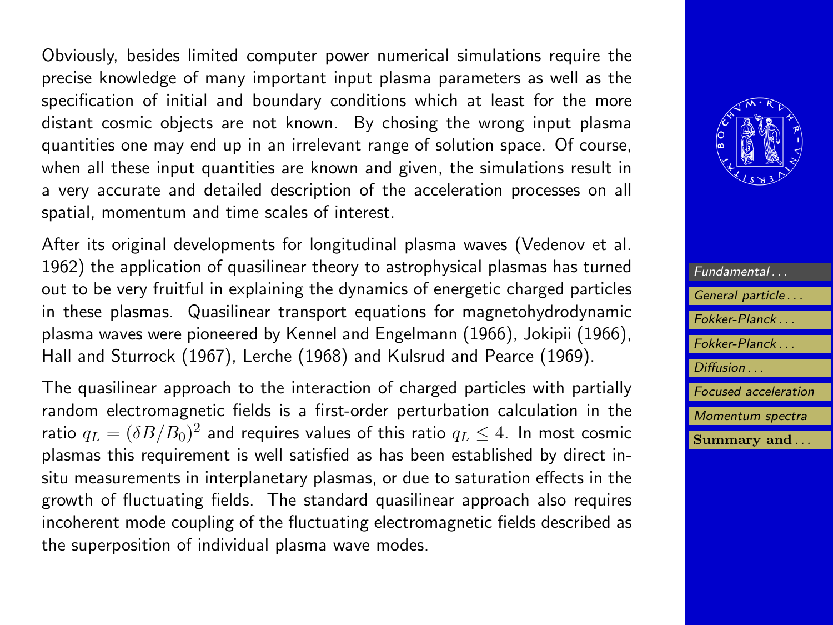Obviously, besides limited computer power numerical simulations require the precise knowledge of many important input plasma parameters as well as the specification of initial and boundary conditions which at least for the more distant cosmic objects are not known. By chosing the wrong input plasma quantities one may end up in an irrelevant range of solution space. Of course, when all these input quantities are known and given, the simulations result in a very accurate and detailed description of the acceleration processes on all spatial, momentum and time scales of interest.

After its original developments for longitudinal plasma waves (Vedenov et al. 1962) the application of quasilinear theory to astrophysical plasmas has turned out to be very fruitful in explaining the dynamics of energetic charged particles in these plasmas. Quasilinear transport equations for magnetohydrodynamic plasma waves were pioneered by Kennel and Engelmann (1966), Jokipii (1966), Hall and Sturrock (1967), Lerche (1968) and Kulsrud and Pearce (1969).

The quasilinear approach to the interaction of charged particles with partially random electromagnetic fields is a first-order perturbation calculation in the ratio  $q_L=(\delta B/B_0)^2$  and requires values of this ratio  $q_L\leq 4.$  In most cosmic plasmas this requirement is well satisfied as has been established by direct insitu measurements in interplanetary plasmas, or due to saturation effects in the growth of fluctuating fields. The standard quasilinear approach also requires incoherent mode coupling of the fluctuating electromagnetic fields described as the superposition of individual plasma wave modes.



| Fundamental                 |
|-----------------------------|
| General particle            |
| Fokker-Planck               |
| Fokker-Planck               |
| Diffusion                   |
| <b>Focused</b> acceleration |
| Momentum spectra            |
| Summary and                 |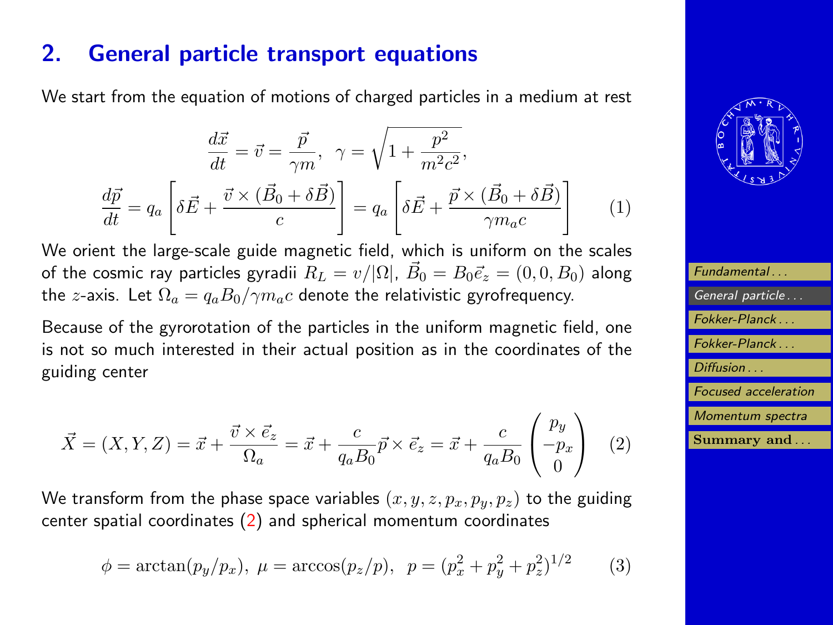# <span id="page-4-0"></span>2. General particle transport equations

We start from the equation of motions of charged particles in a medium at rest

$$
\frac{d\vec{x}}{dt} = \vec{v} = \frac{\vec{p}}{\gamma m}, \quad \gamma = \sqrt{1 + \frac{p^2}{m^2 c^2}},
$$

$$
\frac{d\vec{p}}{dt} = q_a \left[ \delta \vec{E} + \frac{\vec{v} \times (\vec{B}_0 + \delta \vec{B})}{c} \right] = q_a \left[ \delta \vec{E} + \frac{\vec{p} \times (\vec{B}_0 + \delta \vec{B})}{\gamma m_a c} \right] \tag{1}
$$

We orient the large-scale guide magnetic field, which is uniform on the scales of the cosmic ray particles gyradii  $R_L = v/|\Omega|$ ,  $\vec{B_0} = B_0 \vec{e_z} = (0,0,B_0)$  along the z-axis. Let  $\Omega_a = q_a B_0 / \gamma m_a c$  denote the relativistic gyrofrequency.

Because of the gyrorotation of the particles in the uniform magnetic field, one is not so much interested in their actual position as in the coordinates of the guiding center

$$
\vec{X} = (X, Y, Z) = \vec{x} + \frac{\vec{v} \times \vec{e_z}}{\Omega_a} = \vec{x} + \frac{c}{q_a B_0} \vec{p} \times \vec{e_z} = \vec{x} + \frac{c}{q_a B_0} \begin{pmatrix} p_y \\ -p_x \\ 0 \end{pmatrix} \tag{2}
$$

We transform from the phase space variables  $(x, y, z, p_x, p_y, p_z)$  to the guiding center spatial coordinates (2) and spherical momentum coordinates

$$
\phi = \arctan(p_y/p_x), \ \mu = \arccos(p_z/p), \ \ p = (p_x^2 + p_y^2 + p_z^2)^{1/2} \tag{3}
$$



| Fundamental                 |
|-----------------------------|
| General particle            |
| Fokker-Planck               |
| Fokker-Planck               |
| Diffusion                   |
| <b>Focused</b> acceleration |
| Momentum spectra            |
| Summary and                 |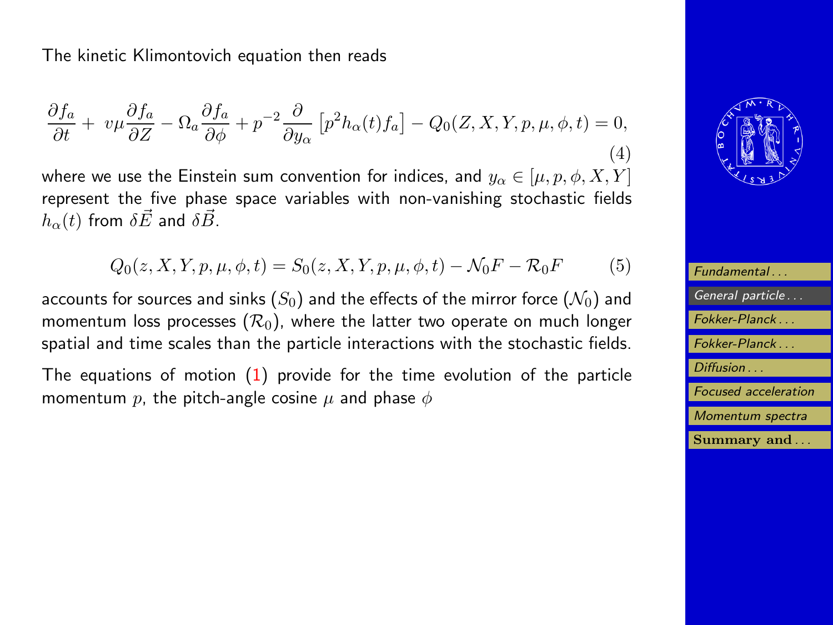<span id="page-5-0"></span>The kinetic Klimontovich equation then reads

$$
\frac{\partial f_a}{\partial t} + v\mu \frac{\partial f_a}{\partial Z} - \Omega_a \frac{\partial f_a}{\partial \phi} + p^{-2} \frac{\partial}{\partial y_\alpha} \left[ p^2 h_\alpha(t) f_a \right] - Q_0(Z, X, Y, p, \mu, \phi, t) = 0,\tag{4}
$$

where we use the Einstein sum convention for indices, and  $y_{\alpha} \in [\mu, p, \phi, X, Y]$ represent the five phase space variables with non-vanishing stochastic fields  $h_{\alpha}(t)$  from  $\delta \vec{E}$  and  $\delta \vec{B}$ .

$$
Q_0(z, X, Y, p, \mu, \phi, t) = S_0(z, X, Y, p, \mu, \phi, t) - \mathcal{N}_0 F - \mathcal{R}_0 F \tag{5}
$$

accounts for sources and sinks  $(S_0)$  and the effects of the mirror force  $(\mathcal{N}_0)$  and momentum loss processes  $(\mathcal{R}_0)$ , where the latter two operate on much longer spatial and time scales than the particle interactions with the stochastic fields.

The equations of motion  $(1)$  provide for the time evolution of the particle momentum p, the pitch-angle cosine  $\mu$  and phase  $\phi$ 



| Fundamental                     |
|---------------------------------|
| General particle                |
| Fokker-Planck                   |
| Fokker-Planck                   |
| Diffusion                       |
| <b>Focused</b> acceleration     |
| Momentum spectra                |
| $\mathbf{Summary}$ and $\ldots$ |
|                                 |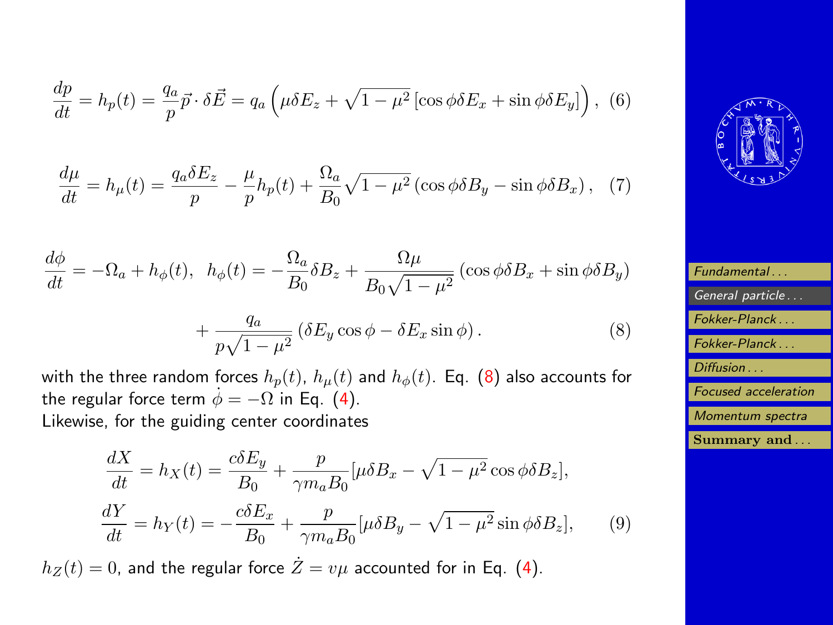$$
\frac{dp}{dt} = h_p(t) = \frac{q_a}{p}\vec{p} \cdot \delta \vec{E} = q_a \left(\mu \delta E_z + \sqrt{1 - \mu^2} \left[ \cos \phi \delta E_x + \sin \phi \delta E_y \right] \right), \tag{6}
$$

$$
\frac{d\mu}{dt} = h_{\mu}(t) = \frac{q_a \delta E_z}{p} - \frac{\mu}{p} h_p(t) + \frac{\Omega_a}{B_0} \sqrt{1 - \mu^2} \left( \cos \phi \delta B_y - \sin \phi \delta B_x \right), \tag{7}
$$

$$
\frac{d\phi}{dt} = -\Omega_a + h_{\phi}(t), \quad h_{\phi}(t) = -\frac{\Omega_a}{B_0}\delta B_z + \frac{\Omega\mu}{B_0\sqrt{1-\mu^2}}\left(\cos\phi\delta B_x + \sin\phi\delta B_y\right)
$$

$$
+\frac{q_a}{p\sqrt{1-\mu^2}}\left(\delta E_y\cos\phi - \delta E_x\sin\phi\right). \tag{8}
$$

with the three random forces  $h_p(t)$ ,  $h_\mu(t)$  and  $h_\phi(t)$ . Eq. (8) also accounts for the regular force term  $\dot{\phi} = -\Omega$  in Eq. [\(4\)](#page-5-0). Likewise, for the guiding center coordinates

$$
\frac{dX}{dt} = h_X(t) = \frac{c\delta E_y}{B_0} + \frac{p}{\gamma m_a B_0} [\mu \delta B_x - \sqrt{1 - \mu^2} \cos \phi \delta B_z],
$$
  

$$
\frac{dY}{dt} = h_Y(t) = -\frac{c\delta E_x}{B_0} + \frac{p}{\gamma m_a B_0} [\mu \delta B_y - \sqrt{1 - \mu^2} \sin \phi \delta B_z],
$$
 (9)

 $h_Z(t) = 0$ , and the regular force  $\dot{Z} = v\mu$  accounted for in Eq. [\(4\)](#page-5-0).



| Fundamental                 |
|-----------------------------|
|                             |
| General particle            |
| Fokker-Planck               |
|                             |
| Fokker-Planck               |
|                             |
|                             |
|                             |
| Diffusion                   |
|                             |
| <b>Focused</b> acceleration |
|                             |
| Momentum spectra            |
| Summary and                 |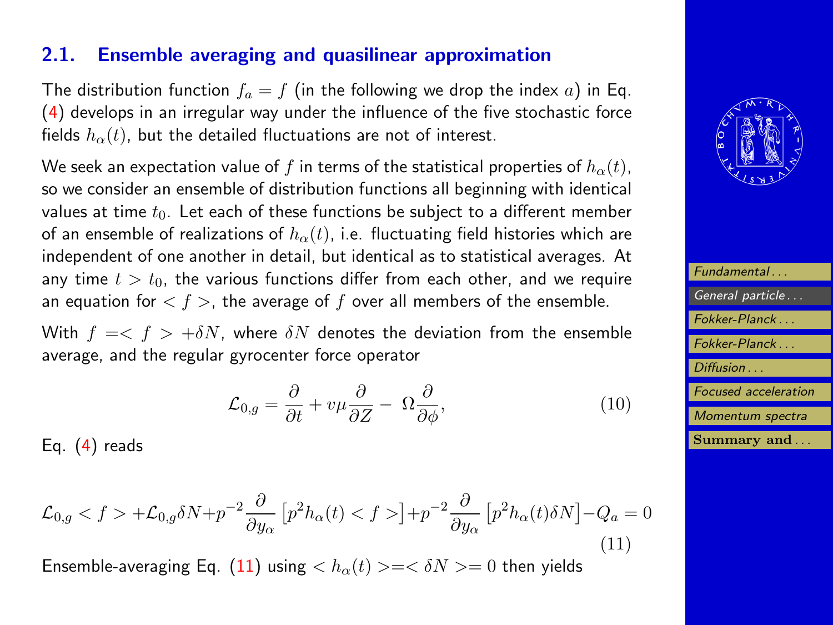### <span id="page-7-0"></span>2.1. Ensemble averaging and quasilinear approximation

The distribution function  $f_a = f$  (in the following we drop the index a) in Eq. [\(4\)](#page-5-0) develops in an irregular way under the influence of the five stochastic force fields  $h_{\alpha}(t)$ , but the detailed fluctuations are not of interest.

We seek an expectation value of f in terms of the statistical properties of  $h_{\alpha}(t)$ , so we consider an ensemble of distribution functions all beginning with identical values at time  $t_0$ . Let each of these functions be subject to a different member of an ensemble of realizations of  $h_{\alpha}(t)$ , i.e. fluctuating field histories which are independent of one another in detail, but identical as to statistical averages. At any time  $t > t_0$ , the various functions differ from each other, and we require an equation for  $\langle f \rangle$ , the average of f over all members of the ensemble.

With  $f = \langle f \rangle + \delta N$ , where  $\delta N$  denotes the deviation from the ensemble average, and the regular gyrocenter force operator

$$
\mathcal{L}_{0,g} = \frac{\partial}{\partial t} + v\mu \frac{\partial}{\partial z} - \Omega \frac{\partial}{\partial \phi},\tag{10}
$$

Eq. [\(4\)](#page-5-0) reads

$$
\mathcal{L}_{0,g} < f > +\mathcal{L}_{0,g} \delta N + p^{-2} \frac{\partial}{\partial y_{\alpha}} \left[ p^2 h_{\alpha}(t) < f > \right] + p^{-2} \frac{\partial}{\partial y_{\alpha}} \left[ p^2 h_{\alpha}(t) \delta N \right] - Q_a = 0 \tag{11}
$$

Ensemble-averaging Eq. (11) using  $\langle h_{\alpha}(t) \rangle = \langle \delta N \rangle = 0$  then yields



| Fundamental                 |
|-----------------------------|
| General particle            |
| Fokker-Planck               |
| Fokker-Planck               |
| Diffusion                   |
| <b>Focused</b> acceleration |
| Momentum spectra            |
| Summary and                 |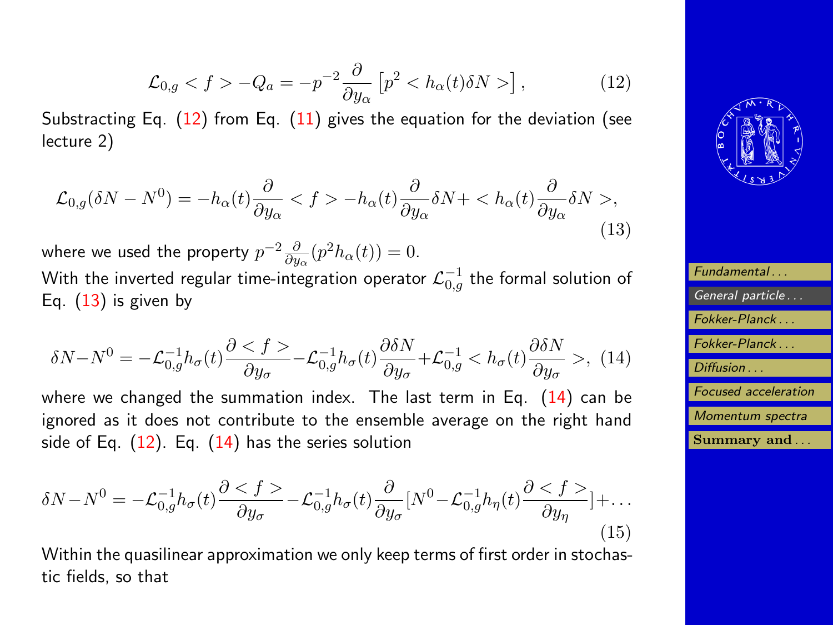$$
\mathcal{L}_{0,g} < f > -Q_a = -p^{-2} \frac{\partial}{\partial y_\alpha} \left[ p^2 < h_\alpha(t) \delta N > \right],\tag{12}
$$

<span id="page-8-0"></span>Substracting Eq.  $(12)$  from Eq.  $(11)$  gives the equation for the deviation (see lecture 2)

$$
\mathcal{L}_{0,g}(\delta N - N^0) = -h_{\alpha}(t)\frac{\partial}{\partial y_{\alpha}} < f > -h_{\alpha}(t)\frac{\partial}{\partial y_{\alpha}}\delta N + \langle h_{\alpha}(t)\frac{\partial}{\partial y_{\alpha}}\delta N > , \tag{13}
$$

where we used the property  $p^{-2}\frac{\partial}{\partial y}$  $\frac{\partial}{\partial y_{\alpha}}(p^2h_{\alpha}(t))=0.$ With the inverted regular time-integration operator  $\mathcal{L}_{0,g}^{-1}$  the formal solution of Eq.  $(13)$  is given by

$$
\delta N - N^0 = -\mathcal{L}_{0,g}^{-1} h_{\sigma}(t) \frac{\partial < f \ge -\mathcal{L}_{0,g}^{-1} h_{\sigma}(t) \frac{\partial \delta N}{\partial y_{\sigma}} + \mathcal{L}_{0,g}^{-1} < h_{\sigma}(t) \frac{\partial \delta N}{\partial y_{\sigma}} > , \tag{14}
$$

where we changed the summation index. The last term in Eq.  $(14)$  can be ignored as it does not contribute to the ensemble average on the right hand side of Eq.  $(12)$ . Eq.  $(14)$  has the series solution

$$
\delta N - N^0 = -\mathcal{L}_{0,g}^{-1} h_{\sigma}(t) \frac{\partial \langle f \rangle}{\partial y_{\sigma}} - \mathcal{L}_{0,g}^{-1} h_{\sigma}(t) \frac{\partial}{\partial y_{\sigma}} [N^0 - \mathcal{L}_{0,g}^{-1} h_{\eta}(t) \frac{\partial \langle f \rangle}{\partial y_{\eta}}] + \dots
$$
\n(15)

Within the quasilinear approximation we only keep terms of first order in stochastic fields, so that



| Fundamental                 |
|-----------------------------|
| General particle            |
| Fokker-Planck               |
| Fokker-Planck               |
| Diffusion                   |
| <b>Focused</b> acceleration |
| Momentum spectra            |
| Summary and                 |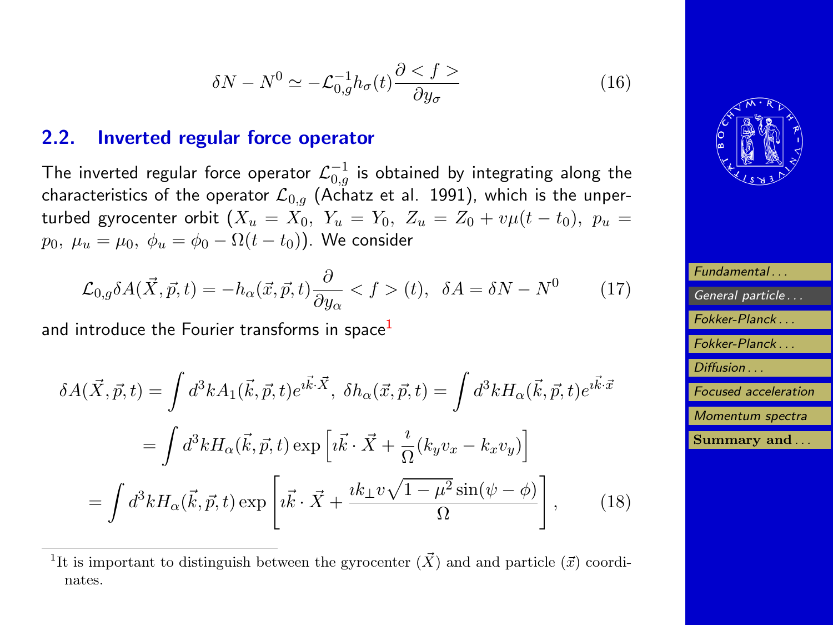$$
\delta N - N^0 \simeq -\mathcal{L}_{0,g}^{-1} h_{\sigma}(t) \frac{\partial \le f}{\partial y_{\sigma}} \tag{16}
$$

### <span id="page-9-0"></span>2.2. Inverted regular force operator

The inverted regular force operator  ${\mathcal L}_{0,g}^{-1}$  is obtained by integrating along the characteristics of the operator  $\mathcal{L}_{0,q}$  (Achatz et al. 1991), which is the unperturbed gyrocenter orbit  $(X_u = X_0, Y_u = Y_0, Z_u = Z_0 + v\mu(t - t_0), p_u =$  $p_0, \mu_u = \mu_0, \phi_u = \phi_0 - \Omega(t - t_0)$ . We consider

$$
\mathcal{L}_{0,g} \delta A(\vec{X}, \vec{p}, t) = -h_{\alpha}(\vec{x}, \vec{p}, t) \frac{\partial}{\partial y_{\alpha}} < f > (t), \ \ \delta A = \delta N - N^0 \tag{17}
$$

and introduce the Fourier transforms in space $<sup>1</sup>$ </sup>

$$
\delta A(\vec{X}, \vec{p}, t) = \int d^3k A_1(\vec{k}, \vec{p}, t) e^{i\vec{k}\cdot\vec{X}}, \ \delta h_{\alpha}(\vec{x}, \vec{p}, t) = \int d^3k H_{\alpha}(\vec{k}, \vec{p}, t) e^{i\vec{k}\cdot\vec{x}}
$$

$$
= \int d^3k H_{\alpha}(\vec{k}, \vec{p}, t) \exp\left[i\vec{k}\cdot\vec{X} + \frac{i}{\Omega}(k_y v_x - k_x v_y)\right]
$$

$$
= \int d^3k H_{\alpha}(\vec{k}, \vec{p}, t) \exp\left[i\vec{k}\cdot\vec{X} + \frac{ik_{\perp}v\sqrt{1-\mu^2}\sin(\psi-\phi)}{\Omega}\right], \tag{18}
$$



| Fundamental                 |
|-----------------------------|
| General particle            |
| Fokker-Planck               |
| Fokker-Planck               |
| Diffusion                   |
| <b>Focused</b> acceleration |
| Momentum spectra            |
| Summary and                 |

<sup>&</sup>lt;sup>1</sup>It is important to distinguish between the gyrocenter  $(\vec{X})$  and and particle  $(\vec{x})$  coordinates.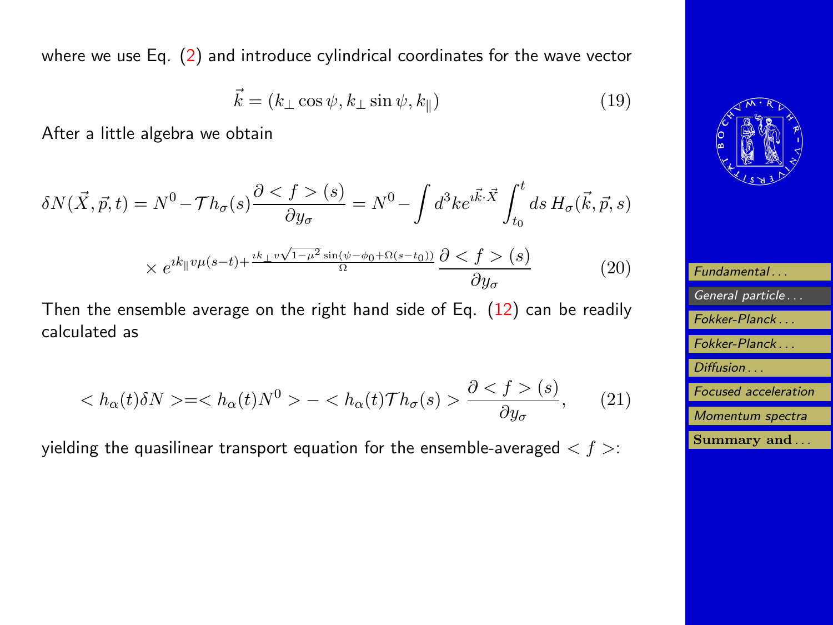<span id="page-10-0"></span>where we use Eq. [\(2\)](#page-4-0) and introduce cylindrical coordinates for the wave vector

$$
\vec{k} = (k_{\perp} \cos \psi, k_{\perp} \sin \psi, k_{\parallel})
$$
\n(19)

After a little algebra we obtain

$$
\delta N(\vec{X}, \vec{p}, t) = N^0 - \mathcal{T}h_{\sigma}(s) \frac{\partial \langle f \rangle(s)}{\partial y_{\sigma}} = N^0 - \int d^3k e^{i\vec{k}\cdot\vec{X}} \int_{t_0}^t ds H_{\sigma}(\vec{k}, \vec{p}, s)
$$

$$
\times e^{ik_{\parallel}v\mu(s-t) + \frac{ik_{\perp}v\sqrt{1-\mu^2}\sin(\psi-\phi_0+\Omega(s-t_0))}{\Omega}} \frac{\partial (s)}{\partial y_{\sigma}}
$$
(20)

Then the ensemble average on the right hand side of Eq.  $(12)$  can be readily calculated as

$$
\langle h_{\alpha}(t)\delta N \rangle = \langle h_{\alpha}(t)N^0 \rangle - \langle h_{\alpha}(t)\mathcal{T}h_{\sigma}(s) \rangle \frac{\partial \langle f \rangle(s)}{\partial y_{\sigma}}, \qquad (21)
$$

yielding the quasilinear transport equation for the ensemble-averaged  $\langle f \rangle$ :



| Fundamental                     |
|---------------------------------|
| General particle                |
| Fokker-Planck                   |
| Fokker-Planck                   |
| Diffusion                       |
| <b>Focused</b> acceleration     |
| Momentum spectra                |
| $\mathbf{Summary}$ and $\ldots$ |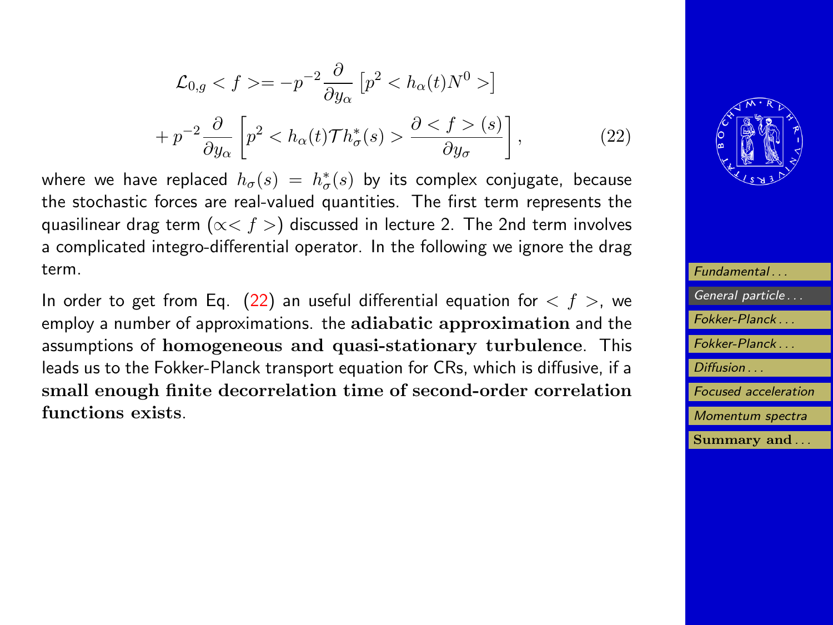<span id="page-11-0"></span>
$$
\mathcal{L}_{0,g} < f > = -p^{-2} \frac{\partial}{\partial y_{\alpha}} \left[ p^2 < h_{\alpha}(t) N^0 > \right] \\
+ p^{-2} \frac{\partial}{\partial y_{\alpha}} \left[ p^2 < h_{\alpha}(t) \mathcal{T} h_{\sigma}^*(s) > \frac{\partial < f > (s)}{\partial y_{\sigma}} \right], \tag{22}
$$

where we have replaced  $h_\sigma(s)\ =\ h_\sigma^*(s)$  by its complex conjugate, because the stochastic forces are real-valued quantities. The first term represents the quasilinear drag term ( $\alpha < f >$ ) discussed in lecture 2. The 2nd term involves a complicated integro-differential operator. In the following we ignore the drag term.

In order to get from Eq. (22) an useful differential equation for  $\langle f \rangle$ , we employ a number of approximations. the adiabatic approximation and the assumptions of homogeneous and quasi-stationary turbulence. This leads us to the Fokker-Planck transport equation for CRs, which is diffusive, if a small enough finite decorrelation time of second-order correlation functions exists.



| Fundamental                 |
|-----------------------------|
| General particle            |
| Fokker-Planck               |
| Fokker-Planck               |
| Diffusion                   |
|                             |
| <b>Focused</b> acceleration |
| Momentum spectra            |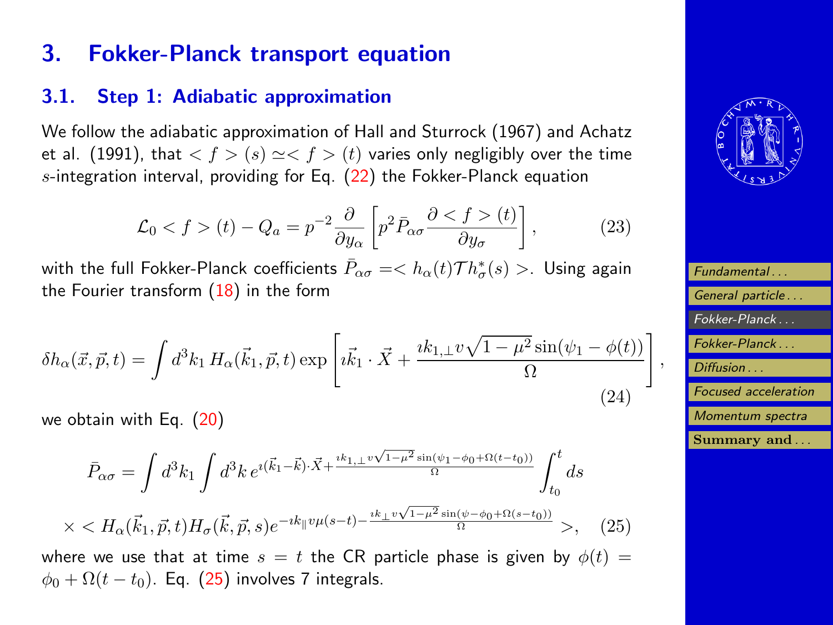# <span id="page-12-0"></span>3. Fokker-Planck transport equation

### 3.1. Step 1: Adiabatic approximation

We follow the adiabatic approximation of Hall and Sturrock (1967) and Achatz et al. (1991), that  $\langle f \rangle$  (s)  $\approx \langle f \rangle$  (t) varies only negligibly over the time s-integration interval, providing for Eq.  $(22)$  the Fokker-Planck equation

$$
\mathcal{L}_0 < f > (t) - Q_a = p^{-2} \frac{\partial}{\partial y_a} \left[ p^2 \bar{P}_{\alpha\sigma} \frac{\partial < f > (t)}{\partial y_\sigma} \right],\tag{23}
$$

with the full Fokker-Planck coefficients  $\bar{P}_{\alpha\sigma}=< h_{\alpha}(t)\mathcal{T}h^{*}_{\sigma}(s)>$ . Using again the Fourier transform  $(18)$  in the form

$$
\delta h_{\alpha}(\vec{x}, \vec{p}, t) = \int d^3k_1 H_{\alpha}(\vec{k}_1, \vec{p}, t) \exp\left[i\vec{k}_1 \cdot \vec{X} + \frac{ik_{1,\perp}v\sqrt{1-\mu^2}\sin(\psi_1-\phi(t))}{\Omega}\right]
$$
\n(24)

we obtain with Eq. [\(20\)](#page-10-0)

 $\times$ 

$$
\bar{P}_{\alpha\sigma} = \int d^3k_1 \int d^3k \, e^{i(\vec{k}_1 - \vec{k}) \cdot \vec{X} + \frac{ik_{1, \perp} v \sqrt{1 - \mu^2} \sin(\psi_1 - \phi_0 + \Omega(t - t_0))}{\Omega}} \int_{t_0}^t ds
$$
\n
$$
< H_{\alpha}(\vec{k}_1, \vec{p}, t) H_{\sigma}(\vec{k}, \vec{p}, s) e^{-ik_{\parallel} v \mu(s - t) - \frac{ik_{\perp} v \sqrt{1 - \mu^2} \sin(\psi - \phi_0 + \Omega(s - t_0))}{\Omega}} > , \quad (25)
$$

where we use that at time  $s = t$  the CR particle phase is given by  $\phi(t) =$  $\phi_0 + \Omega(t - t_0)$ . Eq. (25) involves 7 integrals.



| Fundamental                 |
|-----------------------------|
| General particle            |
| Fokker-Planck               |
| Fokker-Planck               |
| Diffusion                   |
| <b>Focused</b> acceleration |
| Momentum spectra            |
| Summary and                 |

,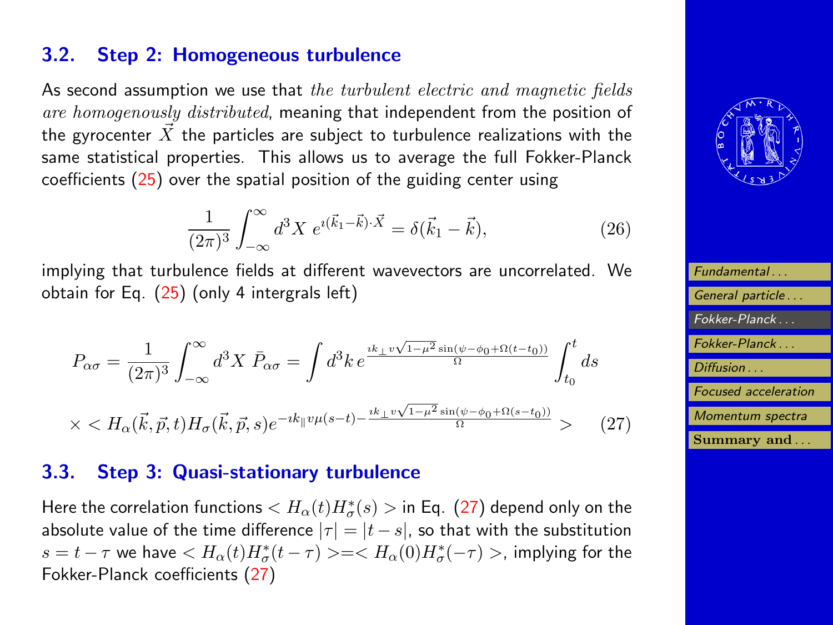### 3.2. Step 2: Homogeneous turbulence

As second assumption we use that the turbulent electric and magnetic fields are homogenously distributed, meaning that independent from the position of the gyrocenter  $\vec{X}$  the particles are subject to turbulence realizations with the same statistical properties. This allows us to average the full Fokker-Planck coefficients [\(25\)](#page-12-0) over the spatial position of the guiding center using

$$
\frac{1}{(2\pi)^3} \int_{-\infty}^{\infty} d^3 X \ e^{i(\vec{k}_1 - \vec{k}) \cdot \vec{X}} = \delta(\vec{k}_1 - \vec{k}), \tag{26}
$$

implying that turbulence fields at different wavevectors are uncorrelated. We obtain for Eq. [\(25\)](#page-12-0) (only 4 intergrals left)

$$
P_{\alpha\sigma} = \frac{1}{(2\pi)^3} \int_{-\infty}^{\infty} d^3 X \, \bar{P}_{\alpha\sigma} = \int d^3 k \, e^{\frac{ik_{\perp}v\sqrt{1-\mu^2}\sin(\psi-\phi_0+\Omega(t-t_0))}{\Omega}} \int_{t_0}^t ds
$$
  
 
$$
\times < H_{\alpha}(\vec{k}, \vec{p}, t) H_{\sigma}(\vec{k}, \vec{p}, s) e^{-ik_{\parallel}v\mu(s-t) - \frac{ik_{\perp}v\sqrt{1-\mu^2}\sin(\psi-\phi_0+\Omega(s-t_0))}{\Omega}} > (27)
$$

### 3.3. Step 3: Quasi-stationary turbulence

Here the correlation functions  $< H_{\alpha}(t)H^*_{\sigma}(s)>$  in Eq.  $\,$  (27) depend only on the absolute value of the time difference  $|\tau| = |t - s|$ , so that with the substitution  $s=t-\tau$  we have  $< H_{\alpha}(t)H^*_{\sigma}(t-\tau) >=< H_{\alpha}(0)H^*_{\sigma}(-\tau) >$ , implying for the Fokker-Planck coefficients (27)



| Fundamental                 |
|-----------------------------|
| General particle            |
| Fokker-Planck               |
| Fokker-Planck               |
| Diffusion                   |
| <b>Focused</b> acceleration |
| Momentum spectra            |
| Summary and                 |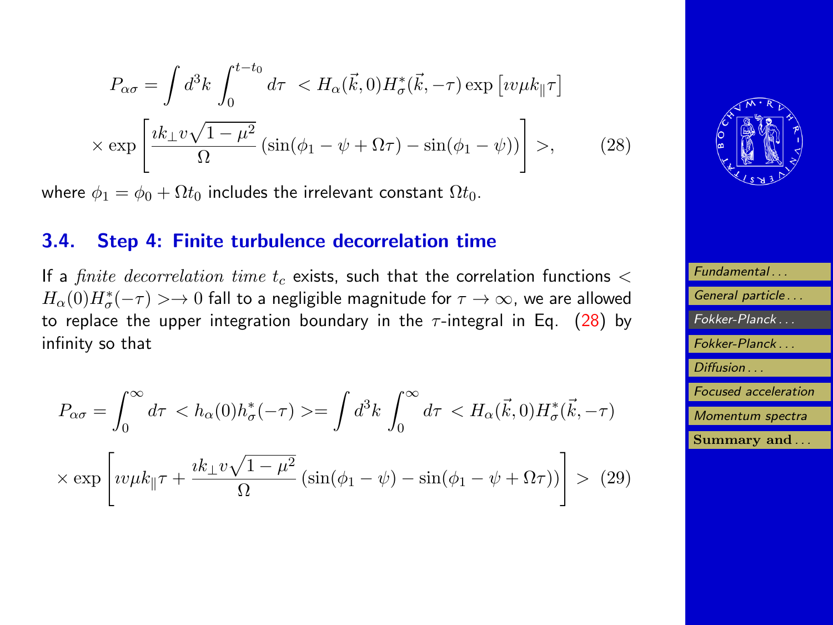<span id="page-14-0"></span>
$$
P_{\alpha\sigma} = \int d^3k \int_0^{t-t_0} d\tau \langle H_{\alpha}(\vec{k},0) H_{\sigma}^*(\vec{k},-\tau) \exp [iv\mu k_{\parallel} \tau] \times \exp \left[ \frac{ik_{\perp} v \sqrt{1-\mu^2}}{\Omega} \left( \sin(\phi_1 - \psi + \Omega \tau) - \sin(\phi_1 - \psi) \right) \right] \rangle, \tag{28}
$$

where  $\phi_1 = \phi_0 + \Omega t_0$  includes the irrelevant constant  $\Omega t_0$ .

### 3.4. Step 4: Finite turbulence decorrelation time

If a *finite decorrelation time t<sub>c</sub>* exists, such that the correlation functions  $\lt$  $H_\alpha(0)H^\ast_\sigma(-\tau)>\to 0$  fall to a negligible magnitude for  $\tau\to\infty$ , we are allowed to replace the upper integration boundary in the  $\tau$ -integral in Eq. (28) by infinity so that

$$
P_{\alpha\sigma} = \int_0^{\infty} d\tau \langle h_{\alpha}(0)h_{\sigma}^*(-\tau) \rangle = \int d^3k \int_0^{\infty} d\tau \langle H_{\alpha}(\vec{k},0)H_{\sigma}^*(\vec{k},-\tau) \rangle
$$

$$
\times \exp\left[i\nu\mu k_{\parallel}\tau + \frac{ik_{\perp}v\sqrt{1-\mu^2}}{\Omega} \left(\sin(\phi_1 - \psi) - \sin(\phi_1 - \psi + \Omega\tau)\right)\right] \rangle \tag{29}
$$



| Fundamental                 |
|-----------------------------|
| General particle            |
| Fokker-Planck               |
| Fokker-Planck               |
| Diffusion                   |
| <b>Focused acceleration</b> |
| Momentum spectra            |
| Summary and                 |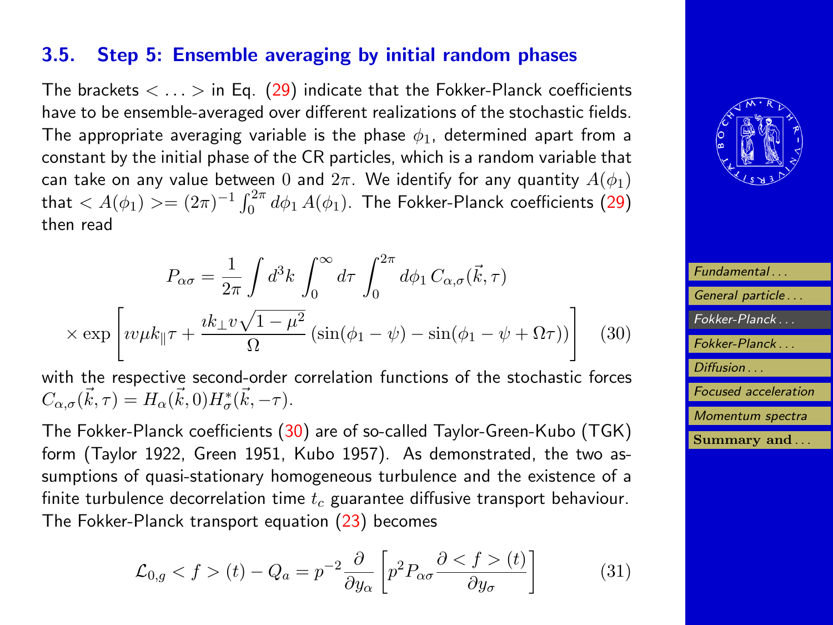### <span id="page-15-0"></span>3.5. Step 5: Ensemble averaging by initial random phases

The brackets  $\langle \ldots \rangle$  in Eq. [\(29\)](#page-14-0) indicate that the Fokker-Planck coefficients have to be ensemble-averaged over different realizations of the stochastic fields. The appropriate averaging variable is the phase  $\phi_1$ , determined apart from a constant by the initial phase of the CR particles, which is a random variable that can take on any value between 0 and  $2\pi$ . We identify for any quantity  $A(\phi_1)$ that  $< A(\phi_1)> = (2\pi)^{-1}\int_0^{2\pi}d\phi_1\,A(\phi_1).$  The Fokker-Planck coefficients  $(29)$ then read

$$
P_{\alpha\sigma} = \frac{1}{2\pi} \int d^3k \int_0^\infty d\tau \int_0^{2\pi} d\phi_1 C_{\alpha,\sigma}(\vec{k},\tau)
$$

$$
\times \exp\left[ i v \mu k_{\parallel} \tau + \frac{i k_{\perp} v \sqrt{1 - \mu^2}}{\Omega} \left( \sin(\phi_1 - \psi) - \sin(\phi_1 - \psi + \Omega \tau) \right) \right] \tag{30}
$$

with the respective second-order correlation functions of the stochastic forces  $C_{\alpha,\sigma}(\vec{k},\tau) = H_{\alpha}(\vec{k},0)H_{\sigma}^{*}(\vec{k},-\tau).$ 

The Fokker-Planck coefficients (30) are of so-called Taylor-Green-Kubo (TGK) form (Taylor 1922, Green 1951, Kubo 1957). As demonstrated, the two assumptions of quasi-stationary homogeneous turbulence and the existence of a finite turbulence decorrelation time  $t_c$  guarantee diffusive transport behaviour. The Fokker-Planck transport equation [\(23\)](#page-12-0) becomes

$$
\mathcal{L}_{0,g} < f > (t) - Q_a = p^{-2} \frac{\partial}{\partial y_\alpha} \left[ p^2 P_{\alpha\sigma} \frac{\partial \le f > (t)}{\partial y_\sigma} \right] \tag{31}
$$



| Fundamental                 |
|-----------------------------|
| General particle            |
| Fokker-Planck               |
| Fokker-Planck               |
| Diffusion                   |
| <b>Focused</b> acceleration |
| Momentum spectra            |
| Summary and                 |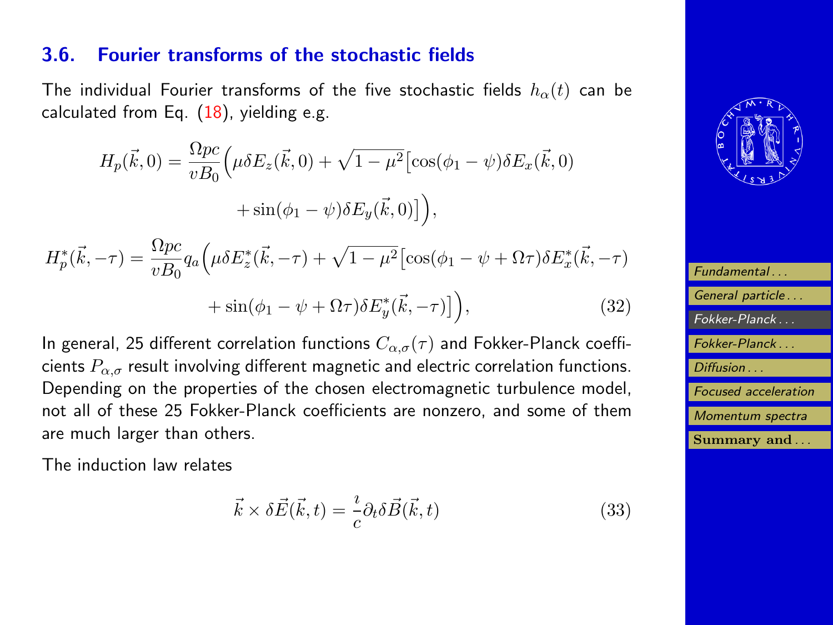### <span id="page-16-0"></span>3.6. Fourier transforms of the stochastic fields

The individual Fourier transforms of the five stochastic fields  $h_{\alpha}(t)$  can be calculated from Eq.  $(18)$ , yielding e.g.

$$
H_p(\vec{k},0) = \frac{\Omega pc}{vB_0} \Big( \mu \delta E_z(\vec{k},0) + \sqrt{1-\mu^2} \Big[ \cos(\phi_1 - \psi) \delta E_x(\vec{k},0) + \sin(\phi_1 - \psi) \delta E_y(\vec{k},0) \Big] \Big),
$$

$$
H_p^*(\vec{k}, -\tau) = \frac{\Omega pc}{vB_0} q_a \left( \mu \delta E_z^*(\vec{k}, -\tau) + \sqrt{1 - \mu^2} \left[ \cos(\phi_1 - \psi + \Omega \tau) \delta E_x^*(\vec{k}, -\tau) \right] + \sin(\phi_1 - \psi + \Omega \tau) \delta E_y^*(\vec{k}, -\tau) \right), \tag{32}
$$

In general, 25 different correlation functions  $C_{\alpha,\sigma}(\tau)$  and Fokker-Planck coefficients  $P_{\alpha,\sigma}$  result involving different magnetic and electric correlation functions. Depending on the properties of the chosen electromagnetic turbulence model, not all of these 25 Fokker-Planck coefficients are nonzero, and some of them are much larger than others.

The induction law relates

$$
\vec{k} \times \delta \vec{E}(\vec{k}, t) = -\frac{\imath}{c} \partial_t \delta \vec{B}(\vec{k}, t)
$$
\n(33)



| Fundamental                 |
|-----------------------------|
| General particle            |
| $Fokker-Planck$             |
| Fokker-Planck               |
| Diffusion                   |
| <b>Focused</b> acceleration |
| Momentum spectra            |
| Summary and                 |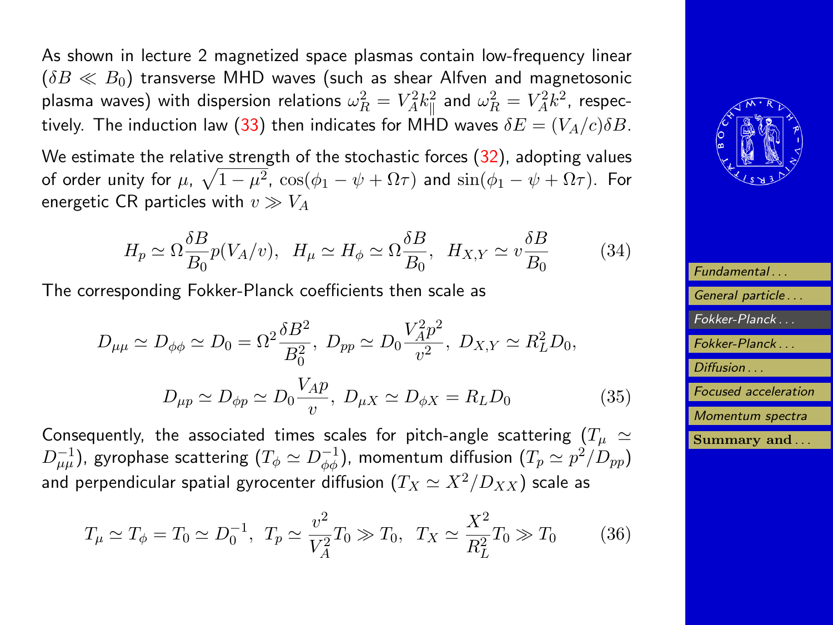As shown in lecture 2 magnetized space plasmas contain low-frequency linear  $(\delta B \ll B_0)$  transverse MHD waves (such as shear Alfven and magnetosonic plasma waves) with dispersion relations  $\omega_R^2 = V_A^2 k_\parallel^2$  and  $\omega_R^2 = V_A^2 k^2$ , respec-tively. The induction law [\(33\)](#page-16-0) then indicates for MHD waves  $\delta E = (V_A/c)\delta B$ .

We estimate the relative strength of the stochastic forces [\(32\)](#page-16-0), adopting values of order unity for  $\mu$ ,  $\sqrt{1-\mu^2}$ ,  $\cos(\phi_1-\psi+\Omega\tau)$  and  $\sin(\phi_1-\psi+\Omega\tau)$ . For energetic CR particles with  $v \gg V_A$ 

$$
H_p \simeq \Omega \frac{\delta B}{B_0} p(V_A/v), \quad H_\mu \simeq H_\phi \simeq \Omega \frac{\delta B}{B_0}, \quad H_{X,Y} \simeq v \frac{\delta B}{B_0} \tag{34}
$$

The corresponding Fokker-Planck coefficients then scale as

$$
D_{\mu\mu} \simeq D_{\phi\phi} \simeq D_0 = \Omega^2 \frac{\delta B^2}{B_0^2}, \ D_{pp} \simeq D_0 \frac{V_A^2 p^2}{v^2}, \ D_{X,Y} \simeq R_L^2 D_0,
$$
  

$$
D_{\mu p} \simeq D_{\phi p} \simeq D_0 \frac{V_A p}{v}, \ D_{\mu X} \simeq D_{\phi X} = R_L D_0
$$
 (35)

Consequently, the associated times scales for pitch-angle scattering  $(T_\mu \simeq$  $D_{\mu\mu}^{-1}$ ), gyrophase scattering  $(T_\phi \simeq D_{\phi\phi}^{-1})$ , momentum diffusion  $(T_p \simeq p^2/D_{pp})$ and perpendicular spatial gyrocenter diffusion  $(T_X \simeq X^2/D_{XX})$  scale as

$$
T_{\mu} \simeq T_{\phi} = T_0 \simeq D_0^{-1}, \ T_p \simeq \frac{v^2}{V_A^2} T_0 \gg T_0, \ T_X \simeq \frac{X^2}{R_L^2} T_0 \gg T_0 \tag{36}
$$



| Fundamental                 |
|-----------------------------|
| General particle            |
| Fokker-Planck               |
| Fokker-Planck               |
| Diffusion                   |
| <b>Focused</b> acceleration |
| Momentum spectra            |
| Summary and                 |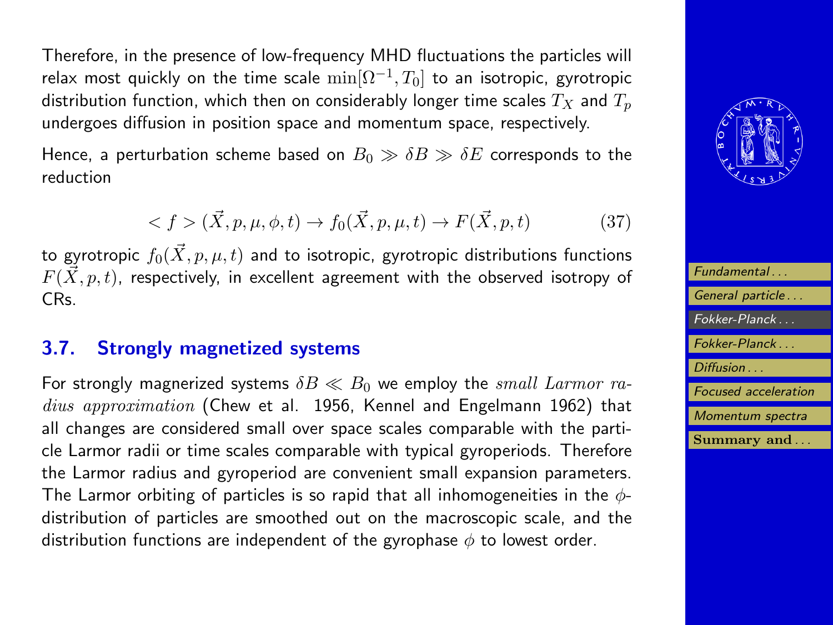Therefore, in the presence of low-frequency MHD fluctuations the particles will relax most quickly on the time scale  $\min[\Omega^{-1},T_0]$  to an isotropic, gyrotropic distribution function, which then on considerably longer time scales  $T_X$  and  $T_n$ undergoes diffusion in position space and momentum space, respectively.

Hence, a perturbation scheme based on  $B_0 \gg \delta B \gg \delta E$  corresponds to the reduction

$$
\langle f \rangle (\vec{X}, p, \mu, \phi, t) \to f_0(\vec{X}, p, \mu, t) \to F(\vec{X}, p, t) \tag{37}
$$

to gyrotropic  $f_0(\vec{X}, p, \mu, t)$  and to isotropic, gyrotropic distributions functions  $F(\vec{X}, p, t)$ , respectively, in excellent agreement with the observed isotropy of CRs.

### 3.7. Strongly magnetized systems

For strongly magnerized systems  $\delta B \ll B_0$  we employ the *small Larmor ra*dius approximation (Chew et al. 1956, Kennel and Engelmann 1962) that all changes are considered small over space scales comparable with the particle Larmor radii or time scales comparable with typical gyroperiods. Therefore the Larmor radius and gyroperiod are convenient small expansion parameters. The Larmor orbiting of particles is so rapid that all inhomogeneities in the  $\phi$ distribution of particles are smoothed out on the macroscopic scale, and the distribution functions are independent of the gyrophase  $\phi$  to lowest order.



| Fundamental                 |
|-----------------------------|
| General particle            |
| $Fokker-Planck$             |
| Fokker-Planck               |
| Diffusion                   |
| <b>Focused</b> acceleration |
| Momentum spectra            |
| Summary and                 |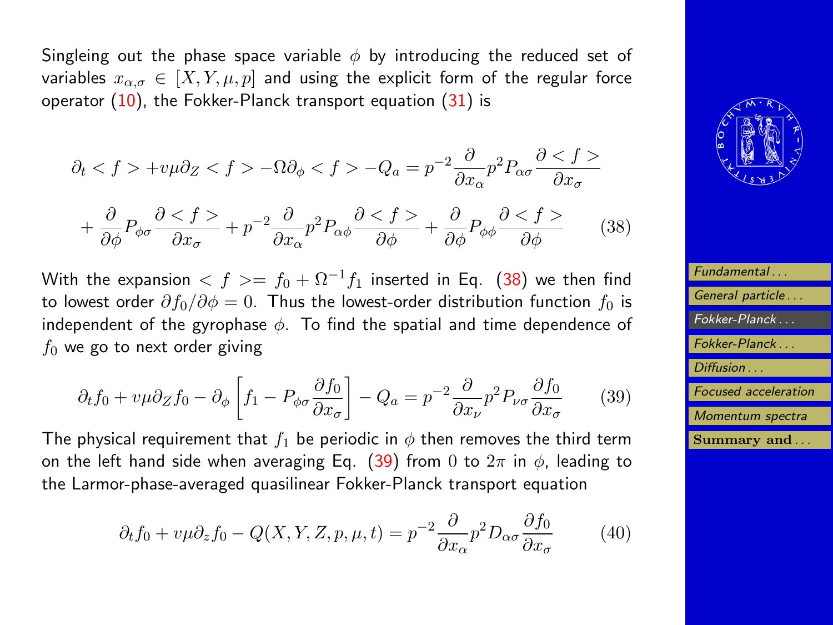<span id="page-19-0"></span>Singleing out the phase space variable  $\phi$  by introducing the reduced set of variables  $x_{\alpha,\sigma} \in [X, Y, \mu, p]$  and using the explicit form of the regular force operator  $(10)$ , the Fokker-Planck transport equation  $(31)$  is

$$
\partial_t < f > +v\mu \partial_z < f > -\Omega \partial_\phi < f > -Q_a = p^{-2} \frac{\partial}{\partial x_\alpha} p^2 P_{\alpha\sigma} \frac{\partial}{\partial x_\sigma} f > \\
+ \frac{\partial}{\partial \phi} P_{\phi\sigma} \frac{\partial}{\partial x_\sigma} f > + p^{-2} \frac{\partial}{\partial x_\alpha} p^2 P_{\alpha\phi} \frac{\partial}{\partial \phi} f > + \frac{\partial}{\partial \phi} P_{\phi\phi} \frac{\partial}{\partial \phi} f < f > \tag{38}
$$

With the expansion  $\langle f \rangle = f_0 + \Omega^{-1} f_1$  inserted in Eq. (38) we then find to lowest order  $\partial f_0/\partial \phi = 0$ . Thus the lowest-order distribution function  $f_0$  is independent of the gyrophase  $\phi$ . To find the spatial and time dependence of  $f_0$  we go to next order giving

$$
\partial_t f_0 + v\mu \partial_z f_0 - \partial_\phi \left[ f_1 - P_{\phi\sigma} \frac{\partial f_0}{\partial x_\sigma} \right] - Q_a = p^{-2} \frac{\partial}{\partial x_\nu} p^2 P_{\nu\sigma} \frac{\partial f_0}{\partial x_\sigma} \tag{39}
$$

The physical requirement that  $f_1$  be periodic in  $\phi$  then removes the third term on the left hand side when averaging Eq. (39) from 0 to  $2\pi$  in  $\phi$ , leading to the Larmor-phase-averaged quasilinear Fokker-Planck transport equation

$$
\partial_t f_0 + v\mu \partial_z f_0 - Q(X, Y, Z, p, \mu, t) = p^{-2} \frac{\partial}{\partial x_\alpha} p^2 D_{\alpha\sigma} \frac{\partial f_0}{\partial x_\sigma} \tag{40}
$$



| Fundamental                 |
|-----------------------------|
| General particle            |
| Fokker-Planck               |
| Fokker-Planck               |
| Diffusion                   |
| <b>Focused</b> acceleration |
| Momentum spectra            |
| Summary and                 |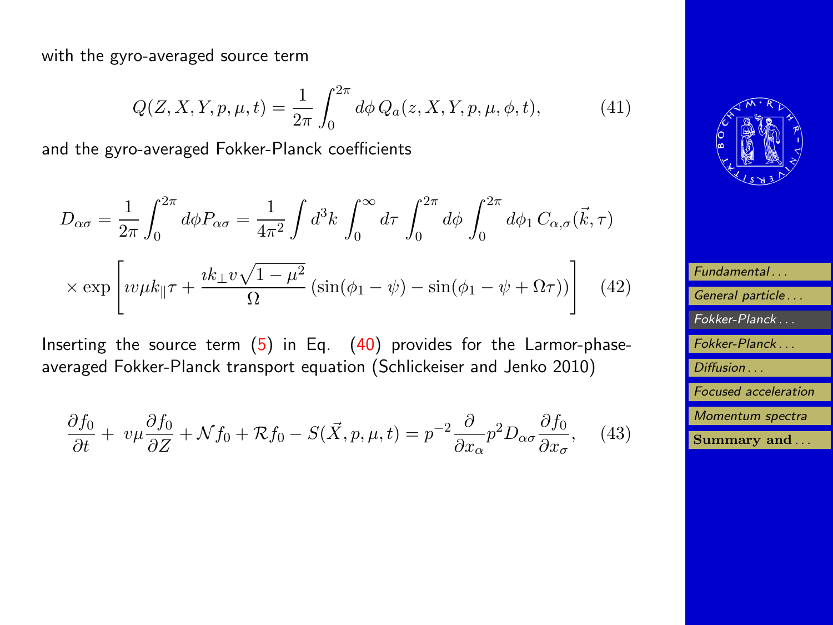<span id="page-20-0"></span>with the gyro-averaged source term

$$
Q(Z, X, Y, p, \mu, t) = \frac{1}{2\pi} \int_0^{2\pi} d\phi \, Q_a(z, X, Y, p, \mu, \phi, t), \tag{41}
$$

and the gyro-averaged Fokker-Planck coefficients

$$
D_{\alpha\sigma} = \frac{1}{2\pi} \int_0^{2\pi} d\phi P_{\alpha\sigma} = \frac{1}{4\pi^2} \int d^3k \int_0^{\infty} d\tau \int_0^{2\pi} d\phi \int_0^{2\pi} d\phi_1 C_{\alpha,\sigma}(\vec{k},\tau)
$$

$$
\times \exp\left[ i v \mu k_{\parallel} \tau + \frac{i k_{\perp} v \sqrt{1-\mu^2}}{\Omega} \left( \sin(\phi_1 - \psi) - \sin(\phi_1 - \psi + \Omega \tau) \right) \right] \tag{42}
$$

Inserting the source term  $(5)$  in Eq.  $(40)$  provides for the Larmor-phaseaveraged Fokker-Planck transport equation (Schlickeiser and Jenko 2010)

$$
\frac{\partial f_0}{\partial t} + v\mu \frac{\partial f_0}{\partial Z} + \mathcal{N}f_0 + \mathcal{R}f_0 - S(\vec{X}, p, \mu, t) = p^{-2} \frac{\partial}{\partial x_\alpha} p^2 D_{\alpha\sigma} \frac{\partial f_0}{\partial x_\sigma}, \quad (43)
$$



| Fundamental                 |
|-----------------------------|
| General particle            |
| Fokker-Planck               |
| Fokker-Planck               |
| Diffusion                   |
| <b>Focused</b> acceleration |
| Momentum spectra            |
| Summary and                 |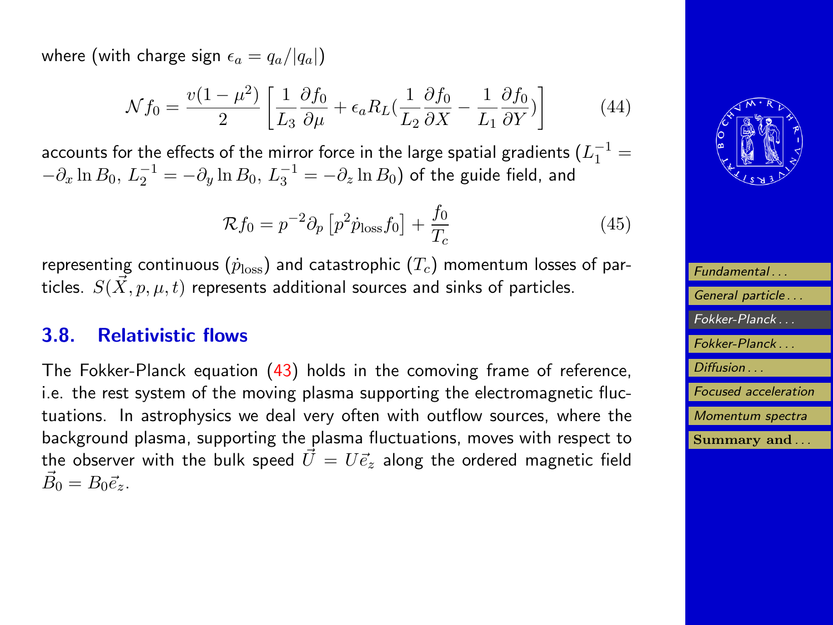where (with charge sign  $\epsilon_a = q_a/|q_a|$ )

$$
\mathcal{N}f_0 = \frac{v(1-\mu^2)}{2} \left[ \frac{1}{L_3} \frac{\partial f_0}{\partial \mu} + \epsilon_a R_L (\frac{1}{L_2} \frac{\partial f_0}{\partial X} - \frac{1}{L_1} \frac{\partial f_0}{\partial Y}) \right]
$$
(44)

accounts for the effects of the mirror force in the large spatial gradients  $(L_1^{-1}=$  $-\partial_x \ln B_0, \, L_2^{-1} = -\partial_y \ln B_0, \, L_3^{-1} = -\partial_z \ln B_0)$  of the guide field, and

$$
\mathcal{R}f_0 = p^{-2}\partial_p \left[ p^2 \dot{p}_{\text{loss}} f_0 \right] + \frac{f_0}{T_c} \tag{45}
$$

representing continuous ( $\dot{p}_{\mathrm{loss}}$ ) and catastrophic ( $T_c$ ) momentum losses of particles.  $S(\vec{X}, p, \mu, t)$  represents additional sources and sinks of particles.

#### 3.8. Relativistic flows

The Fokker-Planck equation [\(43\)](#page-20-0) holds in the comoving frame of reference, i.e. the rest system of the moving plasma supporting the electromagnetic fluctuations. In astrophysics we deal very often with outflow sources, where the background plasma, supporting the plasma fluctuations, moves with respect to the observer with the bulk speed  $U=U\vec{e}_z$  along the ordered magnetic field  $\vec{B_0} = B_0 \vec{e}_z.$ 



| Fundamental                 |
|-----------------------------|
| General particle            |
| Fokker-Planck               |
| Fokker-Planck               |
| Diffusion                   |
| <b>Focused</b> acceleration |
| Momentum spectra            |
| Summary and                 |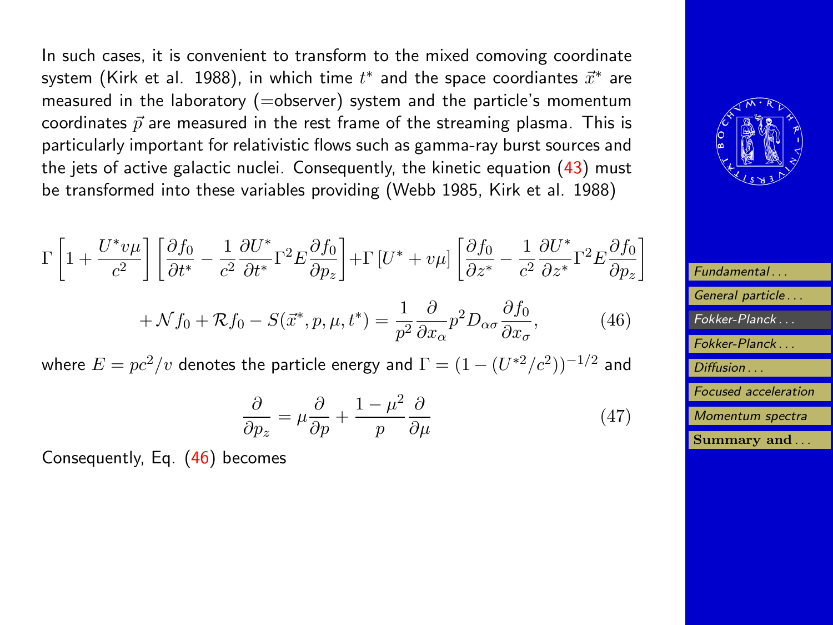In such cases, it is convenient to transform to the mixed comoving coordinate system (Kirk et al. 1988), in which time  $t^*$  and the space coordiantes  $\vec{x}^*$  are measured in the laboratory (=observer) system and the particle's momentum coordinates  $\vec{p}$  are measured in the rest frame of the streaming plasma. This is particularly important for relativistic flows such as gamma-ray burst sources and the jets of active galactic nuclei. Consequently, the kinetic equation [\(43\)](#page-20-0) must be transformed into these variables providing (Webb 1985, Kirk et al. 1988)

$$
\Gamma \left[ 1 + \frac{U^* v \mu}{c^2} \right] \left[ \frac{\partial f_0}{\partial t^*} - \frac{1}{c^2} \frac{\partial U^*}{\partial t^*} \Gamma^2 E \frac{\partial f_0}{\partial p_z} \right] + \Gamma \left[ U^* + v \mu \right] \left[ \frac{\partial f_0}{\partial z^*} - \frac{1}{c^2} \frac{\partial U^*}{\partial z^*} \Gamma^2 E \frac{\partial f_0}{\partial p_z} \right]
$$

$$
+ \mathcal{N} f_0 + \mathcal{R} f_0 - S(\vec{x}^*, p, \mu, t^*) = \frac{1}{p^2} \frac{\partial}{\partial x_\alpha} p^2 D_{\alpha\sigma} \frac{\partial f_0}{\partial x_\sigma}, \tag{46}
$$

where  $E = pc^2/v$  denotes the particle energy and  $\Gamma = (1-(U^{*2}/c^2))^{-1/2}$  and

$$
\frac{\partial}{\partial p_z} = \mu \frac{\partial}{\partial p} + \frac{1 - \mu^2}{p} \frac{\partial}{\partial \mu}
$$
 (47)

Consequently, Eq. (46) becomes



| Fundamental                 |
|-----------------------------|
| General particle            |
| Fokker-Planck               |
| Fokker-Planck               |
| Diffusion                   |
| <b>Focused</b> acceleration |
| Momentum spectra            |
| Summary and                 |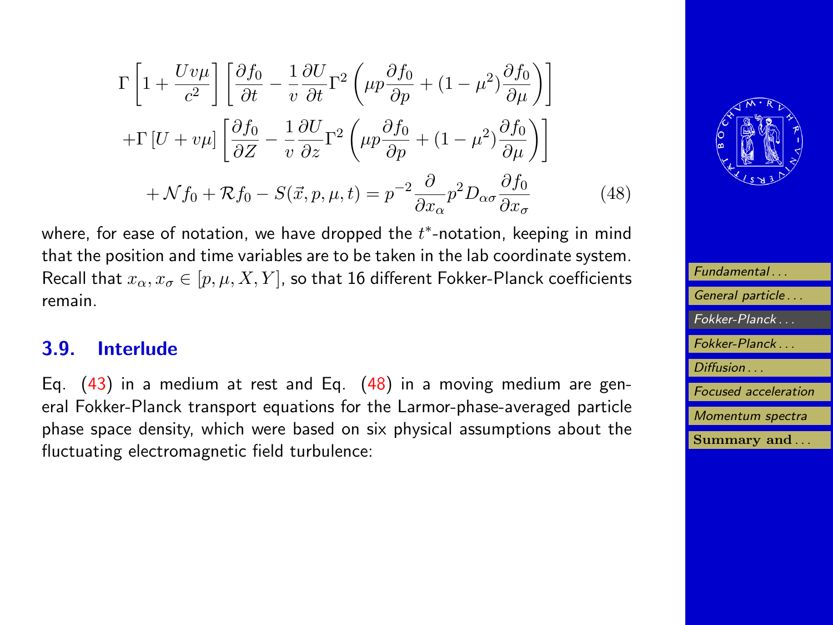<span id="page-23-0"></span>
$$
\Gamma \left[ 1 + \frac{Uv\mu}{c^2} \right] \left[ \frac{\partial f_0}{\partial t} - \frac{1}{v} \frac{\partial U}{\partial t} \Gamma^2 \left( \mu p \frac{\partial f_0}{\partial p} + (1 - \mu^2) \frac{\partial f_0}{\partial \mu} \right) \right]
$$
  
+
$$
\Gamma \left[ U + v\mu \right] \left[ \frac{\partial f_0}{\partial Z} - \frac{1}{v} \frac{\partial U}{\partial z} \Gamma^2 \left( \mu p \frac{\partial f_0}{\partial p} + (1 - \mu^2) \frac{\partial f_0}{\partial \mu} \right) \right]
$$
  
+
$$
\mathcal{N} f_0 + \mathcal{R} f_0 - S(\vec{x}, p, \mu, t) = p^{-2} \frac{\partial}{\partial x_\alpha} p^2 D_{\alpha\sigma} \frac{\partial f_0}{\partial x_\sigma} \tag{48}
$$

where, for ease of notation, we have dropped the  $t^*$ -notation, keeping in mind that the position and time variables are to be taken in the lab coordinate system. Recall that  $x_{\alpha}, x_{\sigma} \in [p, \mu, X, Y]$ , so that 16 different Fokker-Planck coefficients remain.

### 3.9. Interlude

Eq.  $(43)$  in a medium at rest and Eq.  $(48)$  in a moving medium are general Fokker-Planck transport equations for the Larmor-phase-averaged particle phase space density, which were based on six physical assumptions about the fluctuating electromagnetic field turbulence:



| Fundamental                 |
|-----------------------------|
| General particle            |
| Fokker-Planck               |
| Fokker-Planck               |
| Diffusion                   |
| <b>Focused</b> acceleration |
| Momentum spectra            |
| Summary and                 |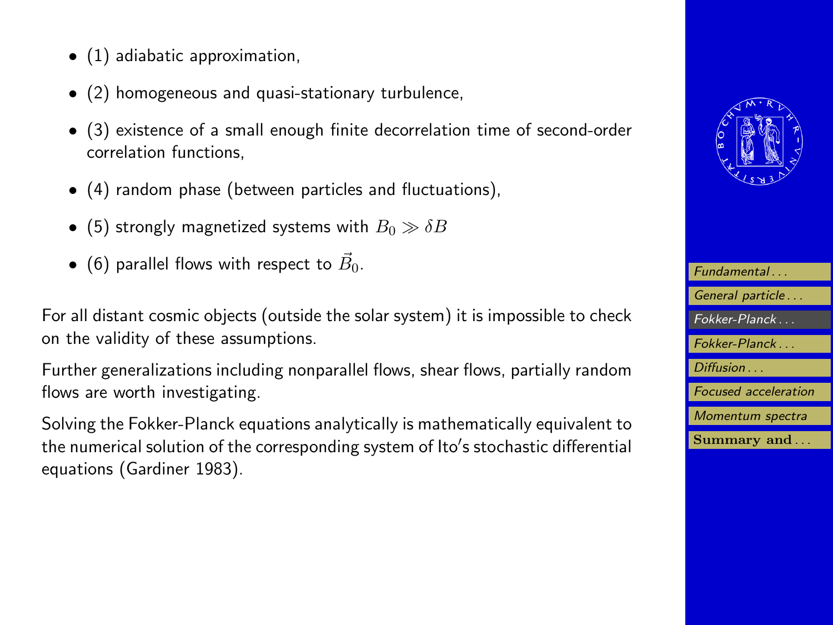- (1) adiabatic approximation,
- (2) homogeneous and quasi-stationary turbulence,
- (3) existence of a small enough finite decorrelation time of second-order correlation functions,
- (4) random phase (between particles and fluctuations),
- (5) strongly magnetized systems with  $B_0 \gg \delta B$
- $\bullet\,$  (6) parallel flows with respect to  $\vec{B}_0.$

For all distant cosmic objects (outside the solar system) it is impossible to check on the validity of these assumptions.

Further generalizations including nonparallel flows, shear flows, partially random flows are worth investigating.

Solving the Fokker-Planck equations analytically is mathematically equivalent to the numerical solution of the corresponding system of Ito's stochastic differential equations (Gardiner 1983).



| Fundamental                 |
|-----------------------------|
| General particle            |
| Fokker-Planck               |
| Fokker-Planck               |
| Diffusion                   |
| <b>Focused</b> acceleration |
| Momentum spectra            |
| Summary and                 |
|                             |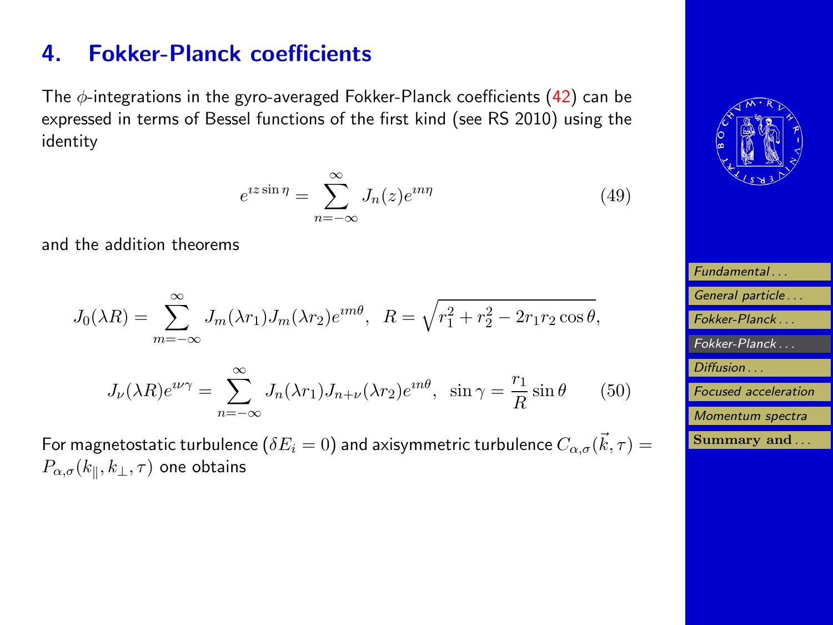# <span id="page-25-0"></span>4. Fokker-Planck coefficients

The  $\phi$ -integrations in the gyro-averaged Fokker-Planck coefficients [\(42\)](#page-20-0) can be expressed in terms of Bessel functions of the first kind (see RS 2010) using the identity

$$
e^{iz\sin\eta} = \sum_{n=-\infty}^{\infty} J_n(z)e^{in\eta}
$$
 (49)

and the addition theorems

$$
J_0(\lambda R) = \sum_{m=-\infty}^{\infty} J_m(\lambda r_1) J_m(\lambda r_2) e^{im\theta}, \quad R = \sqrt{r_1^2 + r_2^2 - 2r_1 r_2 \cos \theta},
$$

$$
J_{\nu}(\lambda R)e^{i\nu\gamma} = \sum_{n=-\infty}^{\infty} J_n(\lambda r_1) J_{n+\nu}(\lambda r_2)e^{in\theta}, \quad \sin \gamma = \frac{r_1}{R}\sin \theta \qquad (50)
$$

For magnetostatic turbulence  $(\delta E_i = 0)$  and axisymmetric turbulence  $C_{\alpha,\sigma}(\vec{k},\tau) =$  $P_{\alpha,\sigma}(k_\parallel,k_\perp,\tau)$  one obtains



| Fundamental                 |
|-----------------------------|
| General particle            |
| Fokker-Planck               |
| Fokker-Planck               |
| Diffusion                   |
| <b>Focused</b> acceleration |
| Momentum spectra            |
| Summary and                 |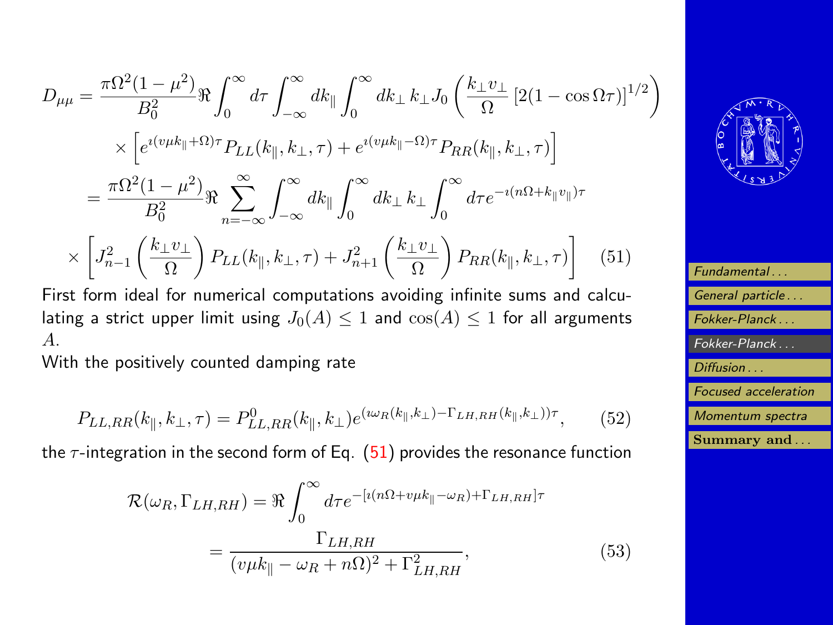$$
D_{\mu\mu} = \frac{\pi \Omega^2 (1 - \mu^2)}{B_0^2} \Re \int_0^\infty d\tau \int_{-\infty}^\infty dk_\parallel \int_0^\infty dk_\perp k_\perp J_0 \left( \frac{k_\perp v_\perp}{\Omega} \left[ 2(1 - \cos \Omega \tau) \right]^{1/2} \right) \times \left[ e^{i(v\mu k_\parallel + \Omega)\tau} P_{LL}(k_\parallel, k_\perp, \tau) + e^{i(v\mu k_\parallel - \Omega)\tau} P_{RR}(k_\parallel, k_\perp, \tau) \right]
$$
  

$$
= \frac{\pi \Omega^2 (1 - \mu^2)}{B_0^2} \Re \sum_{n = -\infty}^\infty \int_{-\infty}^\infty dk_\parallel \int_0^\infty dk_\perp k_\perp \int_0^\infty d\tau e^{-i(n\Omega + k_\parallel v_\parallel)\tau} \times \left[ J_{n-1}^2 \left( \frac{k_\perp v_\perp}{\Omega} \right) P_{LL}(k_\parallel, k_\perp, \tau) + J_{n+1}^2 \left( \frac{k_\perp v_\perp}{\Omega} \right) P_{RR}(k_\parallel, k_\perp, \tau) \right] \quad (51)
$$

First form ideal for numerical computations avoiding infinite sums and calculating a strict upper limit using  $J_0(A) \leq 1$  and  $\cos(A) \leq 1$  for all arguments A.

With the positively counted damping rate

$$
P_{LL,RR}(k_{\parallel}, k_{\perp}, \tau) = P_{LL,RR}^{0}(k_{\parallel}, k_{\perp}) e^{(\omega_{R}(k_{\parallel}, k_{\perp}) - \Gamma_{LH,RH}(k_{\parallel}, k_{\perp}))\tau}, \tag{52}
$$

the  $\tau$ -integration in the second form of Eq. (51) provides the resonance function

$$
\mathcal{R}(\omega_R, \Gamma_{LH, RH}) = \Re \int_0^\infty d\tau e^{-[i(n\Omega + v\mu k_{\parallel} - \omega_R) + \Gamma_{LH,RH}]\tau}
$$

$$
= \frac{\Gamma_{LH,RH}}{(v\mu k_{\parallel} - \omega_R + n\Omega)^2 + \Gamma_{LH,RH}^2},
$$
(53)



| Fundamental                 |
|-----------------------------|
| General particle            |
| Fokker-Planck               |
| Fokker-Planck               |
| Diffusion                   |
| <b>Focused</b> acceleration |
| Momentum spectra            |
| Summary and                 |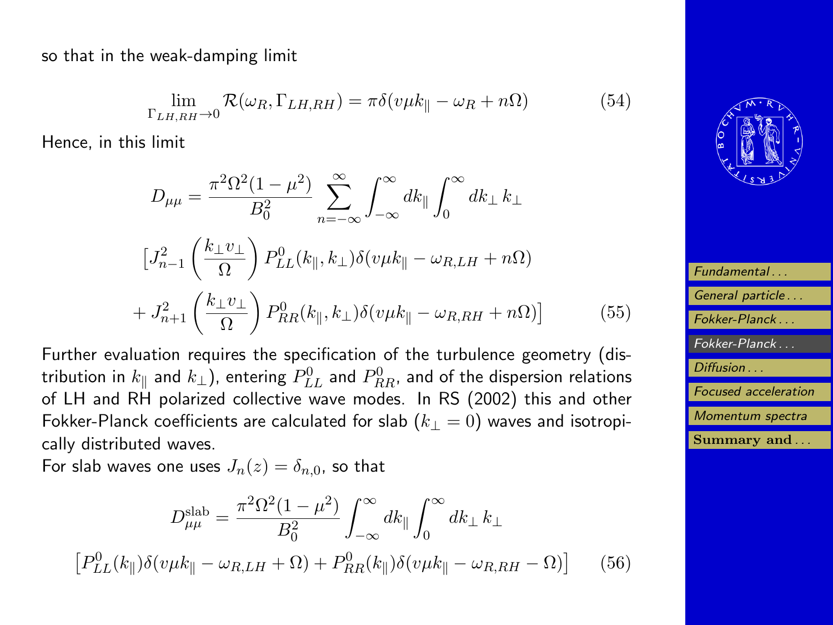so that in the weak-damping limit

$$
\lim_{\Gamma_{LH,RH}\to 0} \mathcal{R}(\omega_R, \Gamma_{LH,RH}) = \pi \delta(v\mu k_{\parallel} - \omega_R + n\Omega) \tag{54}
$$

Hence, in this limit

$$
D_{\mu\mu} = \frac{\pi^2 \Omega^2 (1 - \mu^2)}{B_0^2} \sum_{n = -\infty}^{\infty} \int_{-\infty}^{\infty} dk_{\parallel} \int_0^{\infty} dk_{\perp} k_{\perp}
$$

$$
\left[J_{n-1}^2 \left(\frac{k_{\perp} v_{\perp}}{\Omega}\right) P_{LL}^0(k_{\parallel}, k_{\perp}) \delta(v\mu k_{\parallel} - \omega_{R, LH} + n\Omega) \right]
$$

$$
+ J_{n+1}^2 \left(\frac{k_{\perp} v_{\perp}}{\Omega}\right) P_{RR}^0(k_{\parallel}, k_{\perp}) \delta(v\mu k_{\parallel} - \omega_{R, RH} + n\Omega) \right]
$$
(55)

Further evaluation requires the specification of the turbulence geometry (distribution in  $k_{\parallel}$  and  $k_{\perp}$ ), entering  $P^0_{LL}$  and  $P^0_{RR}$ , and of the dispersion relations of LH and RH polarized collective wave modes. In RS (2002) this and other Fokker-Planck coefficients are calculated for slab  $(k_{\perp} = 0)$  waves and isotropically distributed waves.

For slab waves one uses  $J_n(z) = \delta_{n,0}$ , so that

$$
D_{\mu\mu}^{\text{slab}} = \frac{\pi^2 \Omega^2 (1 - \mu^2)}{B_0^2} \int_{-\infty}^{\infty} dk_{\parallel} \int_0^{\infty} dk_{\perp} k_{\perp}
$$

$$
[P_{LL}^0(k_{\parallel}) \delta(v\mu k_{\parallel} - \omega_{R,LH} + \Omega) + P_{RR}^0(k_{\parallel}) \delta(v\mu k_{\parallel} - \omega_{R,RH} - \Omega)] \qquad (56)
$$



| Fundamental                 |
|-----------------------------|
| General particle            |
| Fokker-Planck               |
| Fokker-Planck               |
| Diffusion                   |
| <b>Focused</b> acceleration |
| Momentum spectra            |
| Summary and                 |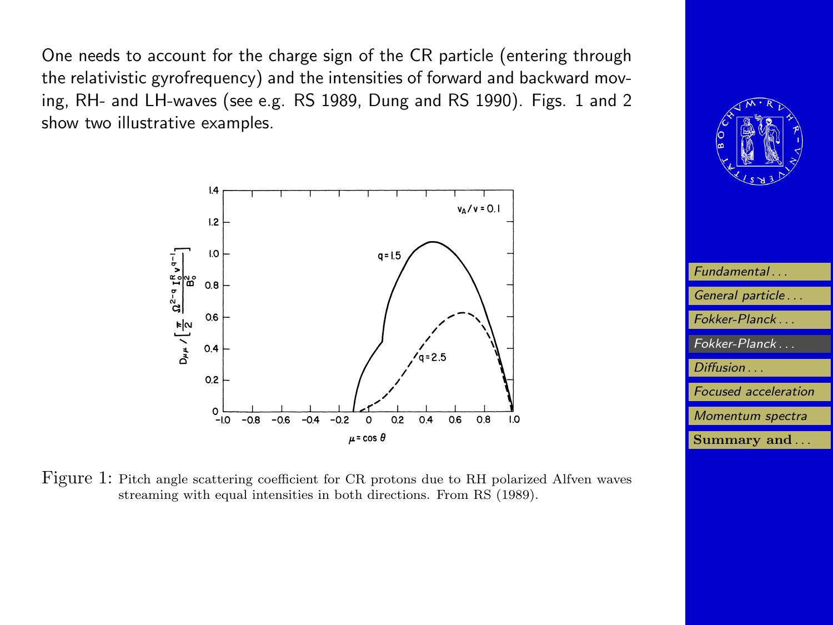One needs to account for the charge sign of the CR particle (entering through the relativistic gyrofrequency) and the intensities of forward and backward moving, RH- and LH-waves (see e.g. RS 1989, Dung and RS 1990). Figs. 1 and 2 show two illustrative examples.





[Fundamental . . .](#page-2-0) [General particle . . .](#page-4-0) [Fokker-Planck . . .](#page-12-0) [Fokker-Planck . . .](#page-25-0) [Diffusion . . .](#page-30-0) [Focused acceleration](#page-41-0) [Momentum spectra](#page-44-0) [Summary and](#page-47-0) ...

Figure 1: Pitch angle scattering coefficient for CR protons due to RH polarized Alfven waves streaming with equal intensities in both directions. From RS (1989).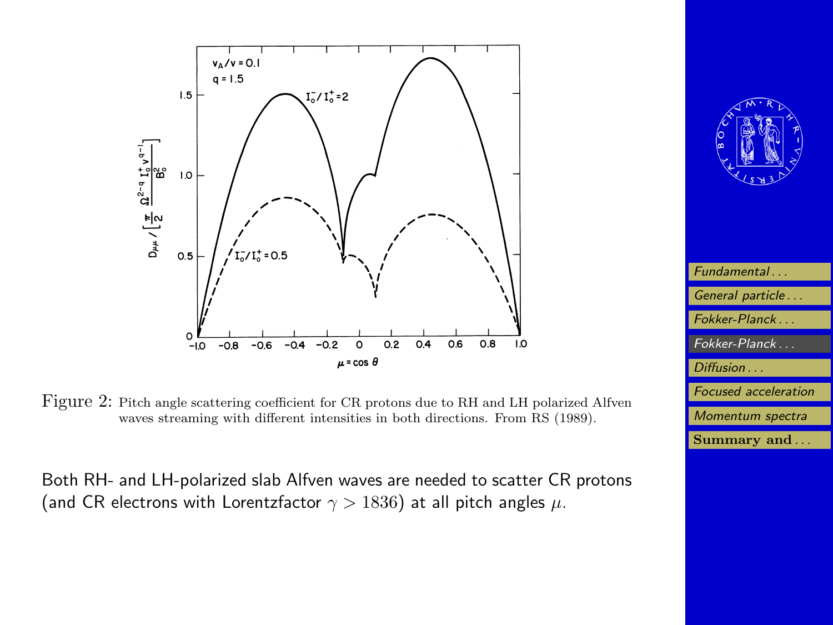



.<br>Both RH- and LH-polarized slab Alfven waves are needed to scatter CR protons (and CR electrons with Lorentzfactor  $\gamma > 1836)$  at all pitch angles  $\mu.$ 



| Fundamental                 |
|-----------------------------|
| General particle            |
| Fokker-Planck               |
| $Fokker-Planck$             |
| Diffusion                   |
| <b>Focused</b> acceleration |
| Momentum spectra            |
| Summary and                 |
|                             |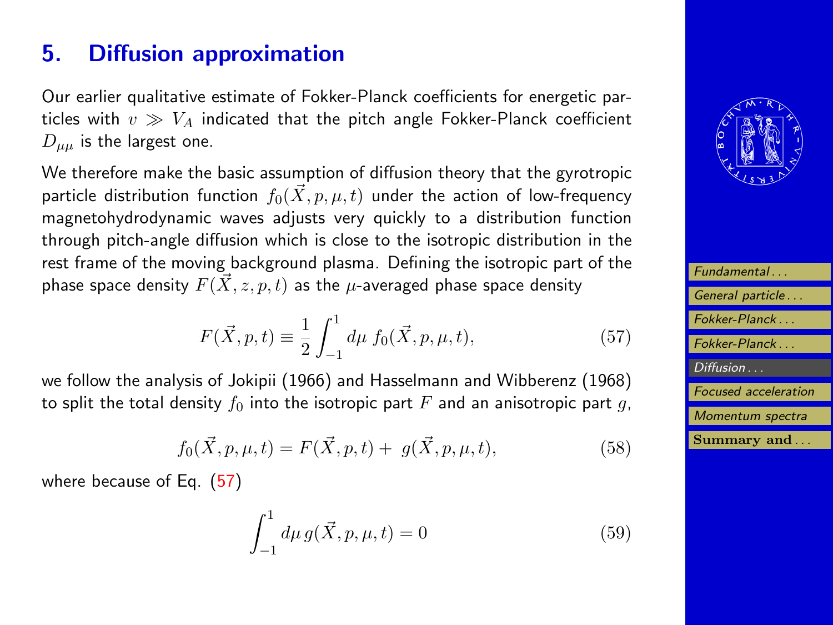# <span id="page-30-0"></span>5. Diffusion approximation

Our earlier qualitative estimate of Fokker-Planck coefficients for energetic particles with  $v \gg V_A$  indicated that the pitch angle Fokker-Planck coefficient  $D_{\mu\mu}$  is the largest one.

We therefore make the basic assumption of diffusion theory that the gyrotropic particle distribution function  $f_0(\vec{X}, p, \mu, t)$  under the action of low-frequency magnetohydrodynamic waves adjusts very quickly to a distribution function through pitch-angle diffusion which is close to the isotropic distribution in the rest frame of the moving background plasma. Defining the isotropic part of the phase space density  $F(\vec{X}, z, p, t)$  as the  $\mu$ -averaged phase space density

$$
F(\vec{X}, p, t) \equiv \frac{1}{2} \int_{-1}^{1} d\mu \ f_0(\vec{X}, p, \mu, t), \tag{57}
$$

we follow the analysis of Jokipii (1966) and Hasselmann and Wibberenz (1968) to split the total density  $f_0$  into the isotropic part F and an anisotropic part g,

$$
f_0(\vec{X}, p, \mu, t) = F(\vec{X}, p, t) + g(\vec{X}, p, \mu, t),
$$
\n(58)

where because of Eq. (57)

$$
\int_{-1}^{1} d\mu \, g(\vec{X}, p, \mu, t) = 0 \tag{59}
$$



| Fundamental                 |
|-----------------------------|
| General particle            |
| Fokker-Planck               |
| Fokker-Planck               |
| Diffusion                   |
| <b>Focused</b> acceleration |
| Momentum spectra            |
| Summary and                 |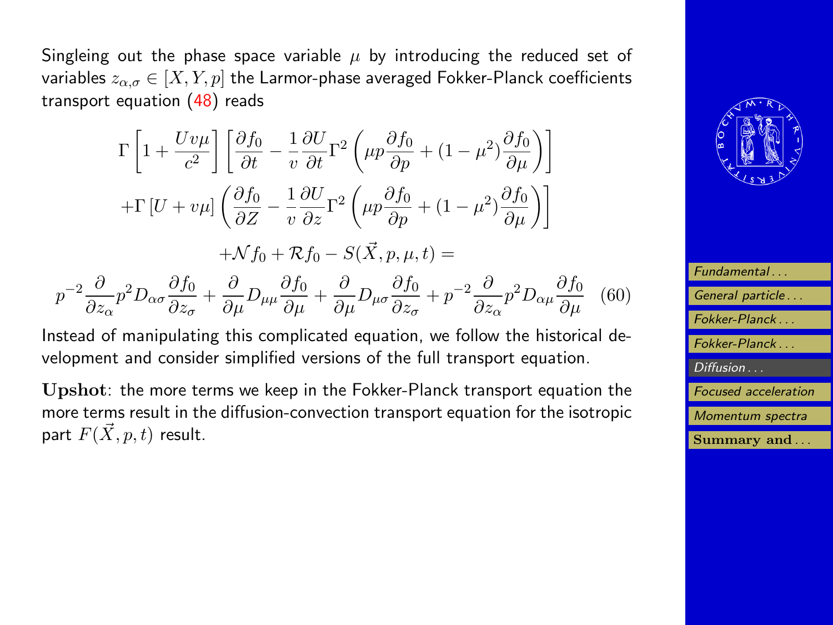<span id="page-31-0"></span>Singleing out the phase space variable  $\mu$  by introducing the reduced set of variables  $z_{\alpha,\sigma} \in [X, Y, p]$  the Larmor-phase averaged Fokker-Planck coefficients transport equation  $(48)$  reads

$$
\Gamma \left[ 1 + \frac{Uv\mu}{c^2} \right] \left[ \frac{\partial f_0}{\partial t} - \frac{1}{v} \frac{\partial U}{\partial t} \Gamma^2 \left( \mu p \frac{\partial f_0}{\partial p} + (1 - \mu^2) \frac{\partial f_0}{\partial \mu} \right) \right]
$$
  
+
$$
\Gamma \left[ U + v\mu \right] \left( \frac{\partial f_0}{\partial Z} - \frac{1}{v} \frac{\partial U}{\partial z} \Gamma^2 \left( \mu p \frac{\partial f_0}{\partial p} + (1 - \mu^2) \frac{\partial f_0}{\partial \mu} \right) \right]
$$
  
+
$$
\mathcal{N} f_0 + \mathcal{R} f_0 - S(\vec{X}, p, \mu, t) =
$$

$$
p^{-2}\frac{\partial}{\partial z_{\alpha}}p^{2}D_{\alpha\sigma}\frac{\partial f_{0}}{\partial z_{\sigma}} + \frac{\partial}{\partial\mu}D_{\mu\mu}\frac{\partial f_{0}}{\partial\mu} + \frac{\partial}{\partial\mu}D_{\mu\sigma}\frac{\partial f_{0}}{\partial z_{\sigma}} + p^{-2}\frac{\partial}{\partial z_{\alpha}}p^{2}D_{\alpha\mu}\frac{\partial f_{0}}{\partial\mu} \quad (60)
$$

Instead of manipulating this complicated equation, we follow the historical development and consider simplified versions of the full transport equation.

Upshot: the more terms we keep in the Fokker-Planck transport equation the more terms result in the diffusion-convection transport equation for the isotropic part  $F(\vec{X}, p, t)$  result.



| Fundamental                 |
|-----------------------------|
| General particle            |
| Fokker-Planck               |
| Fokker-Planck               |
| Diffusion                   |
| <b>Focused</b> acceleration |
| Momentum spectra            |
| Summary and                 |
|                             |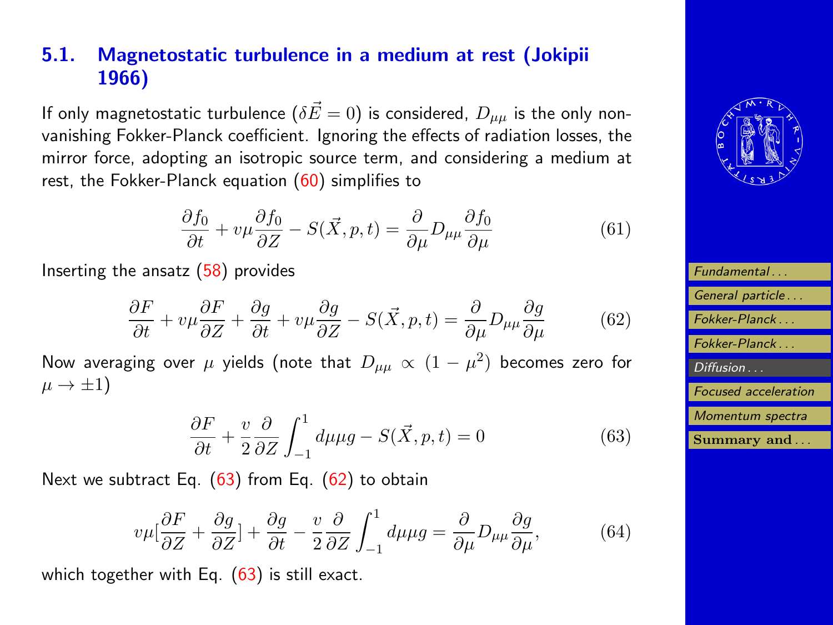### <span id="page-32-0"></span>5.1. Magnetostatic turbulence in a medium at rest (Jokipii 1966)

If only magnetostatic turbulence  $(\delta \vec{E}=0)$  is considered,  $D_{\mu\mu}$  is the only nonvanishing Fokker-Planck coefficient. Ignoring the effects of radiation losses, the mirror force, adopting an isotropic source term, and considering a medium at rest, the Fokker-Planck equation  $(60)$  simplifies to

$$
\frac{\partial f_0}{\partial t} + v\mu \frac{\partial f_0}{\partial z} - S(\vec{X}, p, t) = \frac{\partial}{\partial \mu} D_{\mu\mu} \frac{\partial f_0}{\partial \mu}
$$
(61)

Inserting the ansatz [\(58\)](#page-30-0) provides

$$
\frac{\partial F}{\partial t} + v\mu \frac{\partial F}{\partial z} + \frac{\partial g}{\partial t} + v\mu \frac{\partial g}{\partial z} - S(\vec{X}, p, t) = \frac{\partial}{\partial \mu} D_{\mu\mu} \frac{\partial g}{\partial \mu}
$$
(62)

Now averaging over  $\mu$  yields (note that  $D_{\mu\mu}\, \propto\, (1-\mu^2)$  becomes zero for  $\mu \rightarrow \pm 1$ 

$$
\frac{\partial F}{\partial t} + \frac{v}{2} \frac{\partial}{\partial Z} \int_{-1}^{1} d\mu \mu g - S(\vec{X}, p, t) = 0 \tag{63}
$$

Next we subtract Eq.  $(63)$  from Eq.  $(62)$  to obtain

$$
v\mu[\frac{\partial F}{\partial Z} + \frac{\partial g}{\partial Z}] + \frac{\partial g}{\partial t} - \frac{v}{2} \frac{\partial}{\partial Z} \int_{-1}^{1} d\mu \mu g = \frac{\partial}{\partial \mu} D_{\mu\mu} \frac{\partial g}{\partial \mu},\tag{64}
$$

which together with Eq.  $(63)$  is still exact.



| Fundamental                 |
|-----------------------------|
| General particle            |
| Fokker-Planck               |
| Fokker-Planck               |
| Diffusion                   |
| <b>Focused</b> acceleration |
| Momentum spectra            |
| Summary and                 |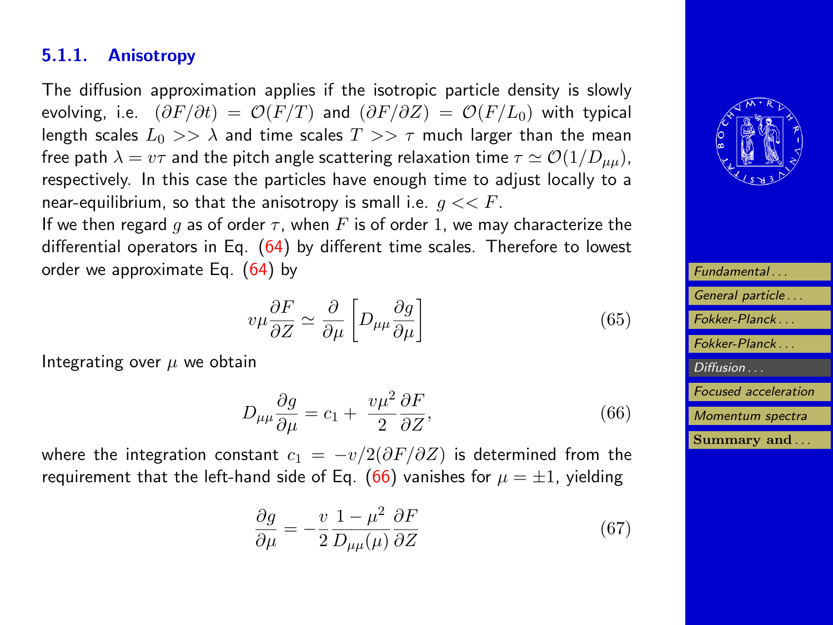### 5.1.1. Anisotropy

The diffusion approximation applies if the isotropic particle density is slowly evolving, i.e.  $(\partial F/\partial t) = \mathcal{O}(F/T)$  and  $(\partial F/\partial Z) = \mathcal{O}(F/L_0)$  with typical length scales  $L_0 >> \lambda$  and time scales  $T >> \tau$  much larger than the mean free path  $\lambda = v\tau$  and the pitch angle scattering relaxation time  $\tau \simeq \mathcal{O}(1/D_{\mu\mu})$ , respectively. In this case the particles have enough time to adjust locally to a near-equilibrium, so that the anisotropy is small i.e.  $q \ll F$ .

If we then regard g as of order  $\tau$ , when F is of order 1, we may characterize the differential operators in Eq. [\(64\)](#page-32-0) by different time scales. Therefore to lowest order we approximate Eq. [\(64\)](#page-32-0) by

$$
v\mu \frac{\partial F}{\partial Z} \simeq \frac{\partial}{\partial \mu} \left[ D_{\mu\mu} \frac{\partial g}{\partial \mu} \right]
$$
(65)

Integrating over  $\mu$  we obtain

$$
D_{\mu\mu}\frac{\partial g}{\partial \mu} = c_1 + \frac{v\mu^2}{2}\frac{\partial F}{\partial Z},\tag{66}
$$

where the integration constant  $c_1 = -v/2(\partial F/\partial Z)$  is determined from the requirement that the left-hand side of Eq. (66) vanishes for  $\mu = \pm 1$ , yielding

$$
\frac{\partial g}{\partial \mu} = -\frac{v}{2} \frac{1 - \mu^2}{D_{\mu\mu}(\mu)} \frac{\partial F}{\partial Z}
$$
(67)



| Fundamental                 |
|-----------------------------|
| General particle            |
| Fokker-Planck               |
| Fokker-Planck               |
| Diffusion                   |
| <b>Focused</b> acceleration |
| Momentum spectra            |
| Summary and                 |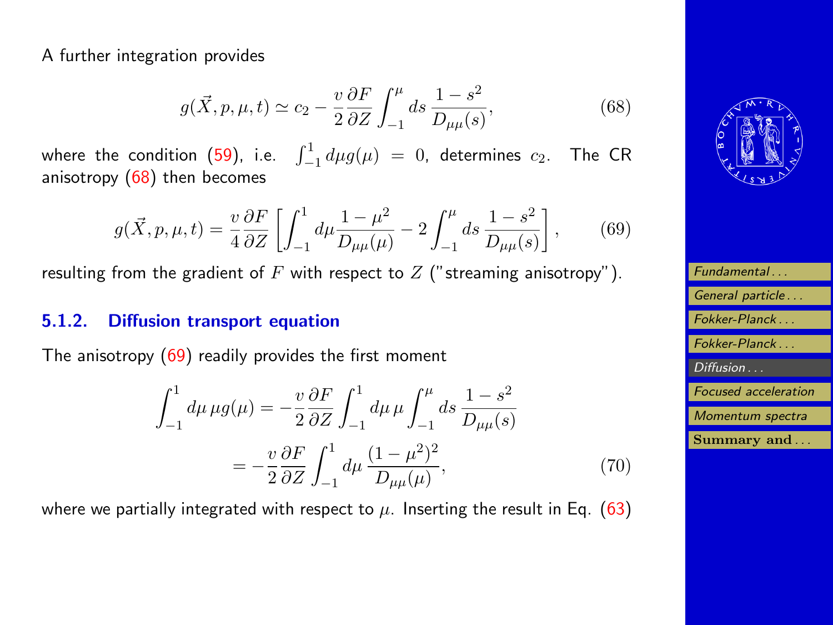<span id="page-34-0"></span>A further integration provides

$$
g(\vec{X}, p, \mu, t) \simeq c_2 - \frac{v}{2} \frac{\partial F}{\partial Z} \int_{-1}^{\mu} ds \, \frac{1 - s^2}{D_{\mu\mu}(s)},
$$
(68)

where the condition [\(59\)](#page-30-0), i.e.  $\,\,\int_{-1}^{1} d\mu g(\mu) \,\,=\,\, 0,\,$  determines  $\,c_2.\,\,\,$  The CR anisotropy  $(68)$  then becomes

$$
g(\vec{X}, p, \mu, t) = \frac{v}{4} \frac{\partial F}{\partial Z} \left[ \int_{-1}^{1} d\mu \frac{1 - \mu^2}{D_{\mu\mu}(\mu)} - 2 \int_{-1}^{\mu} ds \frac{1 - s^2}{D_{\mu\mu}(s)} \right],
$$
(69)

resulting from the gradient of  $F$  with respect to  $Z$  ("streaming anisotropy").

#### 5.1.2. Diffusion transport equation

The anisotropy (69) readily provides the first moment

$$
\int_{-1}^{1} d\mu \,\mu g(\mu) = -\frac{v}{2} \frac{\partial F}{\partial Z} \int_{-1}^{1} d\mu \,\mu \int_{-1}^{\mu} ds \, \frac{1 - s^2}{D_{\mu\mu}(s)}
$$

$$
= -\frac{v}{2} \frac{\partial F}{\partial Z} \int_{-1}^{1} d\mu \, \frac{(1 - \mu^2)^2}{D_{\mu\mu}(\mu)},\tag{70}
$$

where we partially integrated with respect to  $\mu$ . Inserting the result in Eq. [\(63\)](#page-32-0)



| Fundamental                 |
|-----------------------------|
| General particle            |
| Fokker-Planck               |
| Fokker-Planck               |
| Diffusion                   |
| <b>Focused</b> acceleration |
| Momentum spectra            |
| Summary and                 |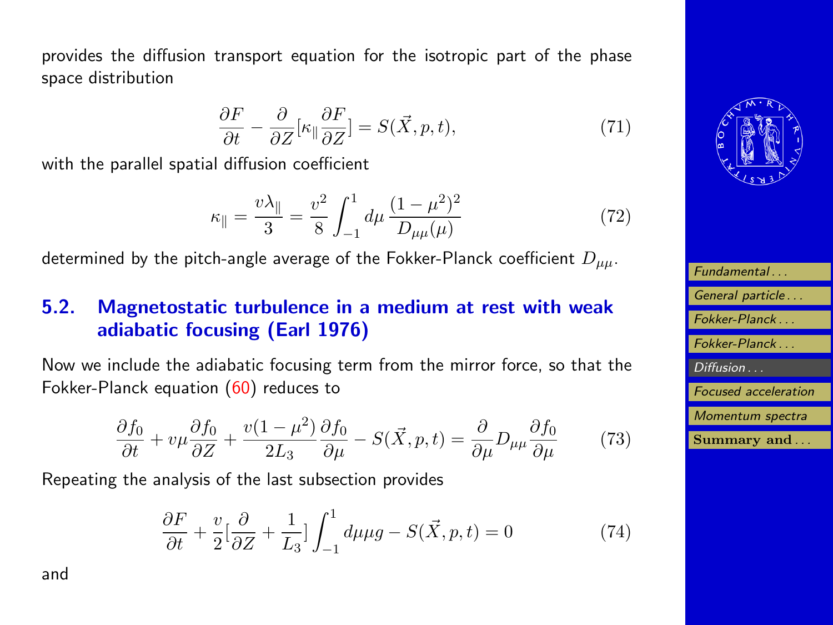provides the diffusion transport equation for the isotropic part of the phase space distribution

$$
\frac{\partial F}{\partial t} - \frac{\partial}{\partial Z} [\kappa_{\parallel} \frac{\partial F}{\partial Z}] = S(\vec{X}, p, t),\tag{71}
$$

with the parallel spatial diffusion coefficient

$$
\kappa_{\parallel} = \frac{v\lambda_{\parallel}}{3} = \frac{v^2}{8} \int_{-1}^{1} d\mu \, \frac{(1 - \mu^2)^2}{D_{\mu\mu}(\mu)} \tag{72}
$$

determined by the pitch-angle average of the Fokker-Planck coefficient  $D_{uu}$ .

### 5.2. Magnetostatic turbulence in a medium at rest with weak adiabatic focusing (Earl 1976)

Now we include the adiabatic focusing term from the mirror force, so that the Fokker-Planck equation [\(60\)](#page-31-0) reduces to

$$
\frac{\partial f_0}{\partial t} + v\mu \frac{\partial f_0}{\partial z} + \frac{v(1-\mu^2)}{2L_3} \frac{\partial f_0}{\partial \mu} - S(\vec{X}, p, t) = \frac{\partial}{\partial \mu} D_{\mu\mu} \frac{\partial f_0}{\partial \mu} \tag{73}
$$

Repeating the analysis of the last subsection provides

$$
\frac{\partial F}{\partial t} + \frac{v}{2} \left[ \frac{\partial}{\partial Z} + \frac{1}{L_3} \right] \int_{-1}^{1} d\mu \mu g - S(\vec{X}, p, t) = 0 \tag{74}
$$





| Fundamental                 |
|-----------------------------|
| General particle            |
| Fokker-Planck               |
| Fokker-Planck               |
| Diffusion                   |
| <b>Focused</b> acceleration |
| Momentum spectra            |
| Summary and                 |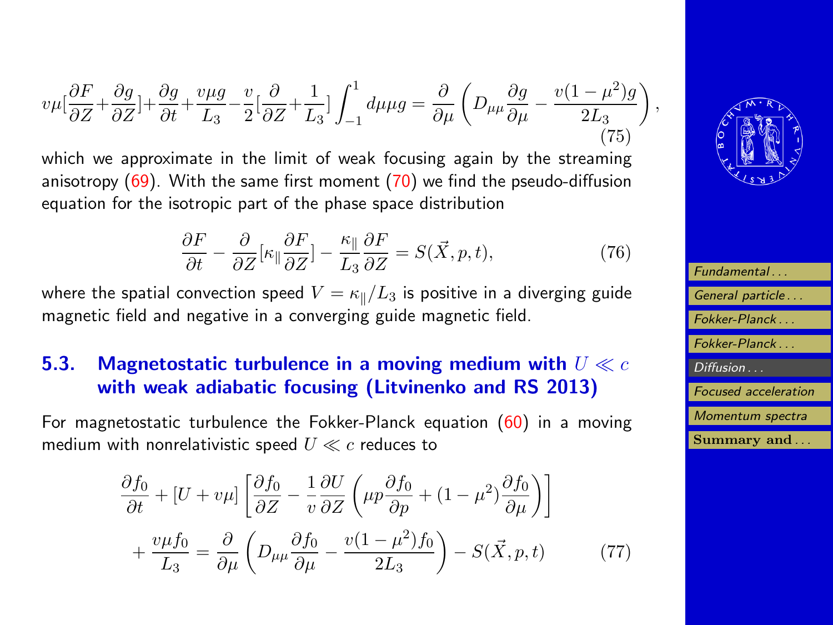$$
v\mu \left[\frac{\partial F}{\partial Z} + \frac{\partial g}{\partial Z}\right] + \frac{\partial g}{\partial t} + \frac{v\mu g}{L_3} - \frac{v}{2} \left[\frac{\partial}{\partial Z} + \frac{1}{L_3}\right] \int_{-1}^{1} d\mu \mu g = \frac{\partial}{\partial \mu} \left(D_{\mu\mu} \frac{\partial g}{\partial \mu} - \frac{v(1-\mu^2)g}{2L_3}\right),\tag{75}
$$

which we approximate in the limit of weak focusing again by the streaming anisotropy  $(69)$ . With the same first moment  $(70)$  we find the pseudo-diffusion equation for the isotropic part of the phase space distribution

$$
\frac{\partial F}{\partial t} - \frac{\partial}{\partial Z} [\kappa_{\parallel} \frac{\partial F}{\partial Z}] - \frac{\kappa_{\parallel}}{L_3} \frac{\partial F}{\partial Z} = S(\vec{X}, p, t), \tag{76}
$$

where the spatial convection speed  $V = \kappa_{\parallel}/L_3$  is positive in a diverging guide magnetic field and negative in a converging guide magnetic field.

### 5.3. Magnetostatic turbulence in a moving medium with  $U \ll c$ with weak adiabatic focusing (Litvinenko and RS 2013)

For magnetostatic turbulence the Fokker-Planck equation [\(60\)](#page-31-0) in a moving medium with nonrelativistic speed  $U \ll c$  reduces to

$$
\frac{\partial f_0}{\partial t} + [U + v\mu] \left[ \frac{\partial f_0}{\partial Z} - \frac{1}{v} \frac{\partial U}{\partial Z} \left( \mu p \frac{\partial f_0}{\partial p} + (1 - \mu^2) \frac{\partial f_0}{\partial \mu} \right) \right] \n+ \frac{v\mu f_0}{L_3} = \frac{\partial}{\partial \mu} \left( D_{\mu\mu} \frac{\partial f_0}{\partial \mu} - \frac{v(1 - \mu^2)f_0}{2L_3} \right) - S(\vec{X}, p, t)
$$
\n(77)



| Fundamental                 |
|-----------------------------|
| General particle            |
| Fokker-Planck               |
| Fokker-Planck               |
| Diffusion                   |
| <b>Focused</b> acceleration |
| Momentum spectra            |
| Summary and                 |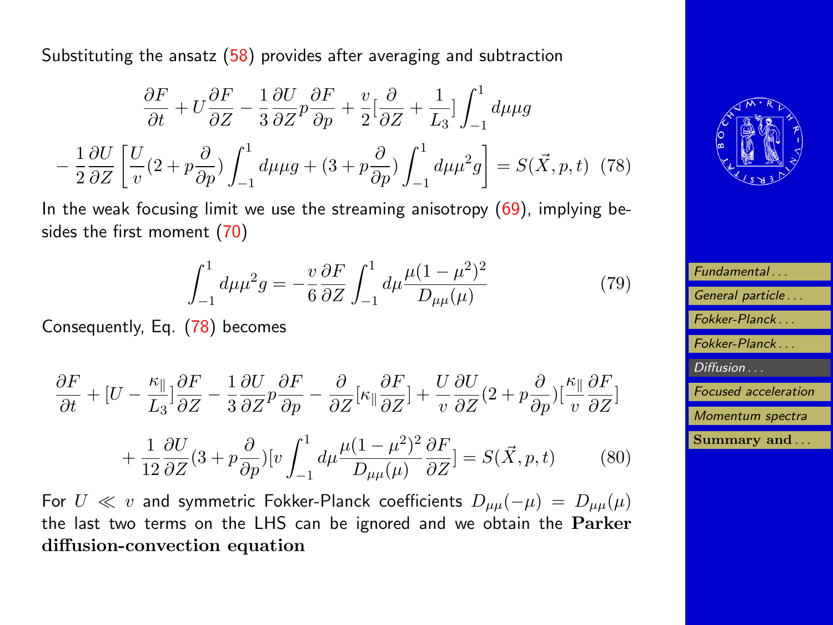Substituting the ansatz [\(58\)](#page-30-0) provides after averaging and subtraction

$$
\frac{\partial F}{\partial t} + U \frac{\partial F}{\partial Z} - \frac{1}{3} \frac{\partial U}{\partial Z} p \frac{\partial F}{\partial p} + \frac{v}{2} \left[ \frac{\partial}{\partial Z} + \frac{1}{L_3} \right] \int_{-1}^{1} d\mu \mu g
$$

$$
- \frac{1}{2} \frac{\partial U}{\partial Z} \left[ \frac{U}{v} (2 + p \frac{\partial}{\partial p}) \int_{-1}^{1} d\mu \mu g + (3 + p \frac{\partial}{\partial p}) \int_{-1}^{1} d\mu \mu^2 g \right] = S(\vec{X}, p, t) \tag{78}
$$

In the weak focusing limit we use the streaming anisotropy  $(69)$ , implying besides the first moment [\(70\)](#page-34-0)

$$
\int_{-1}^{1} d\mu \mu^2 g = -\frac{v}{6} \frac{\partial F}{\partial Z} \int_{-1}^{1} d\mu \frac{\mu (1 - \mu^2)^2}{D_{\mu\mu}(\mu)} \tag{79}
$$

Consequently, Eq. (78) becomes

$$
\frac{\partial F}{\partial t} + [U - \frac{\kappa_{\parallel}}{L_{3}}]\frac{\partial F}{\partial Z} - \frac{1}{3}\frac{\partial U}{\partial Z}p\frac{\partial F}{\partial p} - \frac{\partial}{\partial Z}[\kappa_{\parallel}\frac{\partial F}{\partial Z}] + \frac{U}{v}\frac{\partial U}{\partial Z}(2 + p\frac{\partial}{\partial p})[\frac{\kappa_{\parallel}}{v}\frac{\partial F}{\partial Z}]
$$

$$
+\frac{1}{12}\frac{\partial U}{\partial Z}(3+p\frac{\partial}{\partial p})[v\int_{-1}^{1}d\mu\frac{\mu(1-\mu^{2})^{2}}{D_{\mu\mu}(\mu)}\frac{\partial F}{\partial Z}]=S(\vec{X},p,t)\qquad(80)
$$

For  $U \ll v$  and symmetric Fokker-Planck coefficients  $D_{\mu\mu}(-\mu) = D_{\mu\mu}(\mu)$ the last two terms on the LHS can be ignored and we obtain the Parker diffusion-convection equation



| Fundamental                 |
|-----------------------------|
| General particle            |
| Fokker-Planck               |
| Fokker-Planck               |
| Diffusion                   |
| <b>Focused</b> acceleration |
| Momentum spectra            |
| Summary and                 |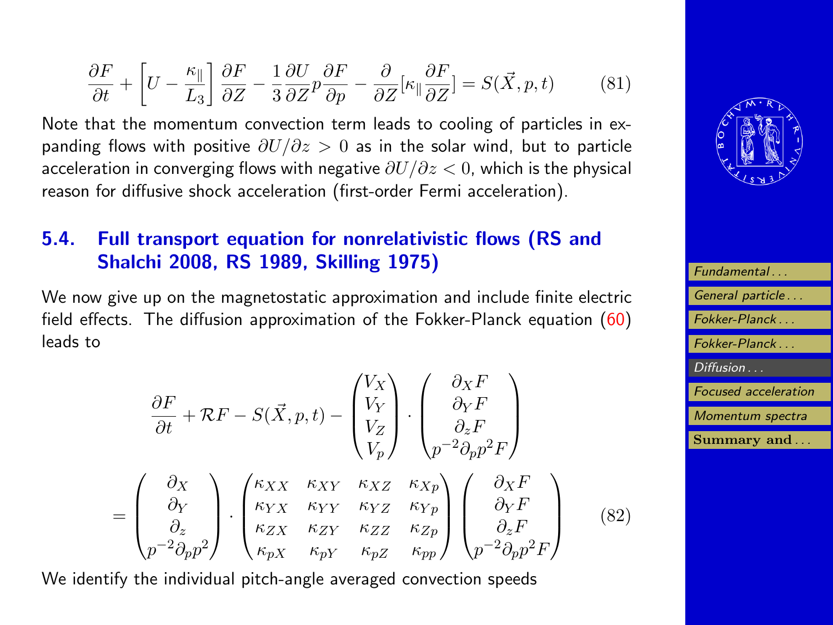<span id="page-38-0"></span>
$$
\frac{\partial F}{\partial t} + \left[ U - \frac{\kappa_{\parallel}}{L_3} \right] \frac{\partial F}{\partial Z} - \frac{1}{3} \frac{\partial U}{\partial Z} p \frac{\partial F}{\partial p} - \frac{\partial}{\partial Z} [\kappa_{\parallel} \frac{\partial F}{\partial Z}] = S(\vec{X}, p, t) \tag{81}
$$

Note that the momentum convection term leads to cooling of particles in expanding flows with positive  $\partial U/\partial z > 0$  as in the solar wind, but to particle acceleration in converging flows with negative  $\partial U/\partial z < 0$ , which is the physical reason for diffusive shock acceleration (first-order Fermi acceleration).

### 5.4. Full transport equation for nonrelativistic flows (RS and Shalchi 2008, RS 1989, Skilling 1975)

We now give up on the magnetostatic approximation and include finite electric field effects. The diffusion approximation of the Fokker-Planck equation [\(60\)](#page-31-0) leads to

$$
\frac{\partial F}{\partial t} + \mathcal{R}F - S(\vec{X}, p, t) - \begin{pmatrix} V_X \\ V_Y \\ V_Z \end{pmatrix} \cdot \begin{pmatrix} \partial_X F \\ \partial_Y F \\ \partial_z F \\ p^{-2} \partial_p p^2 F \end{pmatrix}
$$
\n
$$
= \begin{pmatrix} \partial_X \\ \partial_Y \\ \partial_z \end{pmatrix} \cdot \begin{pmatrix} \kappa_{XX} & \kappa_{XY} & \kappa_{XZ} & \kappa_{Xp} \\ \kappa_{YX} & \kappa_{YY} & \kappa_{YZ} & \kappa_{Yp} \\ \kappa_{ZX} & \kappa_{ZY} & \kappa_{ZZ} & \kappa_{Zp} \\ \kappa_{BX} & \kappa_{BY} & \kappa_{pZ} & \kappa_{pp} \end{pmatrix} \begin{pmatrix} \partial_X F \\ \partial_Y F \\ \partial_z F \\ \partial_z F \\ p^{-2} \partial_p p^2 F \end{pmatrix} \qquad (82)
$$

We identify the individual pitch-angle averaged convection speeds



| Fundamental                 |
|-----------------------------|
| General particle            |
| Fokker-Planck               |
| Fokker-Planck               |
| Diffusion                   |
| <b>Focused</b> acceleration |
| Momentum spectra            |
| Summary and                 |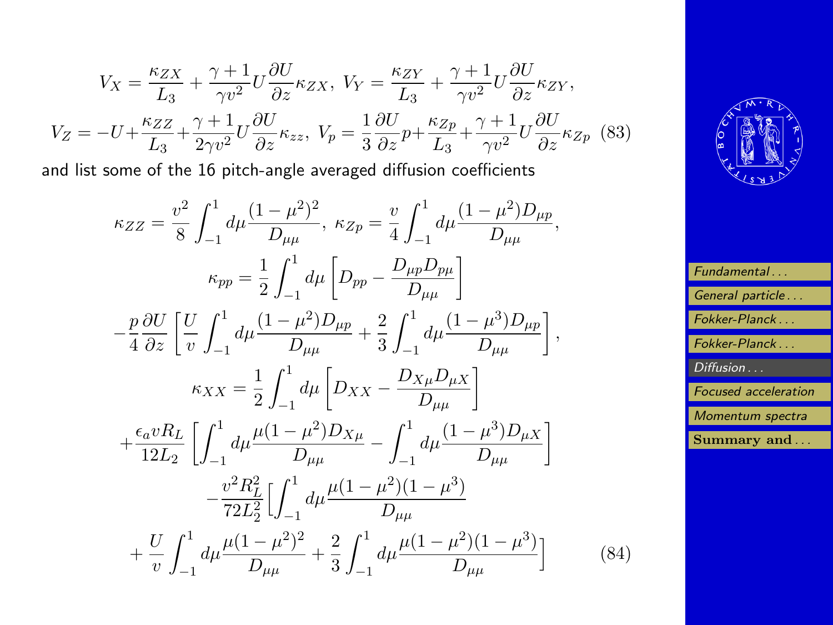$$
V_X = \frac{\kappa_{ZX}}{L_3} + \frac{\gamma + 1}{\gamma v^2} U \frac{\partial U}{\partial z} \kappa_{ZX}, \ V_Y = \frac{\kappa_{ZY}}{L_3} + \frac{\gamma + 1}{\gamma v^2} U \frac{\partial U}{\partial z} \kappa_{ZY},
$$

$$
V_Z = -U + \frac{\kappa_{ZZ}}{L_3} + \frac{\gamma + 1}{2\gamma v^2} U \frac{\partial U}{\partial z} \kappa_{zz}, \ V_p = \frac{1}{3} \frac{\partial U}{\partial z} p + \frac{\kappa_{Zp}}{L_3} + \frac{\gamma + 1}{\gamma v^2} U \frac{\partial U}{\partial z} \kappa_{Zp} \tag{83}
$$

and list some of the 16 pitch-angle averaged diffusion coefficients

$$
\kappa_{ZZ} = \frac{v^2}{8} \int_{-1}^1 d\mu \frac{(1-\mu^2)^2}{D_{\mu\mu}}, \ \kappa_{Zp} = \frac{v}{4} \int_{-1}^1 d\mu \frac{(1-\mu^2)D_{\mu p}}{D_{\mu\mu}},
$$
  
\n
$$
\kappa_{pp} = \frac{1}{2} \int_{-1}^1 d\mu \left[ D_{pp} - \frac{D_{\mu p} D_{p\mu}}{D_{\mu\mu}} \right]
$$
  
\n
$$
- \frac{p}{4} \frac{\partial U}{\partial z} \left[ \frac{U}{v} \int_{-1}^1 d\mu \frac{(1-\mu^2)D_{\mu p}}{D_{\mu\mu}} + \frac{2}{3} \int_{-1}^1 d\mu \frac{(1-\mu^3)D_{\mu p}}{D_{\mu\mu}} \right],
$$
  
\n
$$
\kappa_{XX} = \frac{1}{2} \int_{-1}^1 d\mu \left[ D_{XX} - \frac{D_{X\mu} D_{\mu X}}{D_{\mu\mu}} \right]
$$
  
\n
$$
+ \frac{\epsilon_a v R_L}{12L_2} \left[ \int_{-1}^1 d\mu \frac{\mu (1-\mu^2)D_{X\mu}}{D_{\mu\mu}} - \int_{-1}^1 d\mu \frac{(1-\mu^3)D_{\mu X}}{D_{\mu\mu}} \right]
$$
  
\n
$$
- \frac{v^2 R_L^2}{72L_2^2} \left[ \int_{-1}^1 d\mu \frac{\mu (1-\mu^2)(1-\mu^3)}{D_{\mu\mu}}
$$
  
\n
$$
+ \frac{U}{v} \int_{-1}^1 d\mu \frac{\mu (1-\mu^2)^2}{D_{\mu\mu}} + \frac{2}{3} \int_{-1}^1 d\mu \frac{\mu (1-\mu^2)(1-\mu^3)}{D_{\mu\mu}}
$$



| Fundamental                 |
|-----------------------------|
| General particle            |
| Fokker-Planck               |
| Fokker-Planck               |
| Diffusion                   |
| <b>Focused</b> acceleration |
| Momentum spectra            |
| Summary and                 |
|                             |

(84)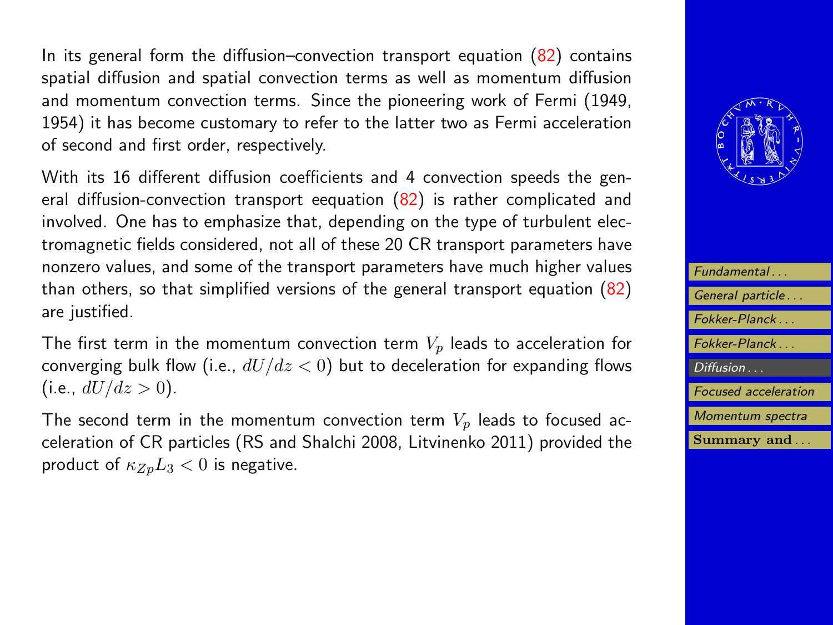In its general form the diffusion–convection transport equation  $(82)$  contains spatial diffusion and spatial convection terms as well as momentum diffusion and momentum convection terms. Since the pioneering work of Fermi (1949, 1954) it has become customary to refer to the latter two as Fermi acceleration of second and first order, respectively.

With its 16 different diffusion coefficients and 4 convection speeds the general diffusion-convection transport eequation  $(82)$  is rather complicated and involved. One has to emphasize that, depending on the type of turbulent electromagnetic fields considered, not all of these 20 CR transport parameters have nonzero values, and some of the transport parameters have much higher values than others, so that simplified versions of the general transport equation [\(82\)](#page-38-0) are justified.

The first term in the momentum convection term  $V_p$  leads to acceleration for converging bulk flow (i.e.,  $dU/dz < 0$ ) but to deceleration for expanding flows (i.e.,  $dU/dz > 0$ ).

The second term in the momentum convection term  $V_p$  leads to focused acceleration of CR particles (RS and Shalchi 2008, Litvinenko 2011) provided the product of  $\kappa_{Zp}L_3 < 0$  is negative.



| Fundamental                 |
|-----------------------------|
| General particle            |
| Fokker-Planck               |
| Fokker-Planck               |
| Diffusion                   |
| <b>Focused</b> acceleration |
| Momentum spectra            |
| Summary and                 |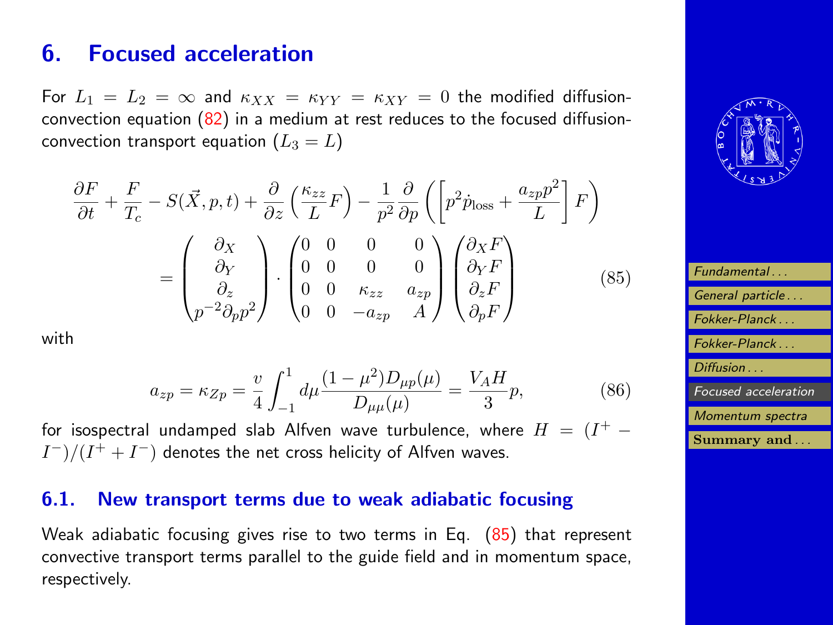# <span id="page-41-0"></span>6. Focused acceleration

For  $L_1 = L_2 = \infty$  and  $\kappa_{XX} = \kappa_{YY} = \kappa_{XY} = 0$  the modified diffusionconvection equation  $(82)$  in a medium at rest reduces to the focused diffusionconvection transport equation  $(L_3 = L)$ 

$$
\frac{\partial F}{\partial t} + \frac{F}{T_c} - S(\vec{X}, p, t) + \frac{\partial}{\partial z} \left( \frac{\kappa_{zz}}{L} F \right) - \frac{1}{p^2} \frac{\partial}{\partial p} \left( \left[ p^2 \dot{p}_{\text{loss}} + \frac{a_{zp} p^2}{L} \right] F \right)
$$
\n
$$
= \begin{pmatrix} \partial_X \\ \partial_Y \\ \partial_z \\ p^{-2} \partial_p p^2 \end{pmatrix} \cdot \begin{pmatrix} 0 & 0 & 0 & 0 \\ 0 & 0 & 0 & 0 \\ 0 & 0 & \kappa_{zz} & a_{zp} \\ 0 & 0 & -a_{zp} & A \end{pmatrix} \begin{pmatrix} \partial_X F \\ \partial_Y F \\ \partial_z F \\ \partial_p F \end{pmatrix}
$$
\n(85)

with

$$
a_{zp} = \kappa_{Zp} = \frac{v}{4} \int_{-1}^{1} d\mu \frac{(1 - \mu^2) D_{\mu p}(\mu)}{D_{\mu \mu}(\mu)} = \frac{V_A H}{3} p,\tag{86}
$$

for isospectral undamped slab Alfven wave turbulence, where  $H = (I^+ - I)$  $I^{-})/(I^{+}+I^{-})$  denotes the net cross helicity of Alfven waves.

### 6.1. New transport terms due to weak adiabatic focusing

Weak adiabatic focusing gives rise to two terms in Eq. (85) that represent convective transport terms parallel to the guide field and in momentum space, respectively.



| Fundamental                 |
|-----------------------------|
| General particle            |
| Fokker-Planck               |
| Fokker-Planck               |
| Diffusion                   |
| <i>Focused acceleration</i> |
| Momentum spectra            |
| Summary and                 |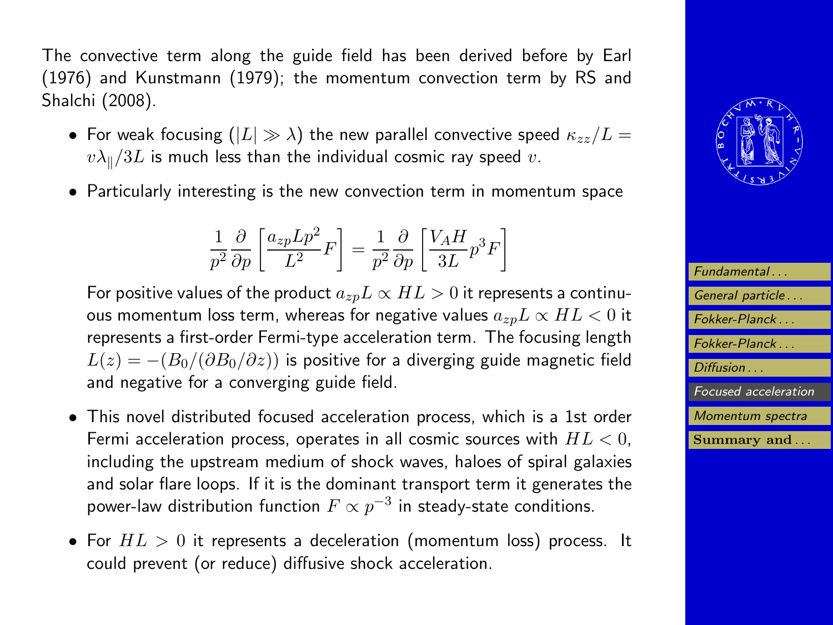The convective term along the guide field has been derived before by Earl (1976) and Kunstmann (1979); the momentum convection term by RS and Shalchi (2008).

- For weak focusing  $(|L| \gg \lambda)$  the new parallel convective speed  $\kappa_{zz}/L =$  $v\lambda_{\parallel}/3L$  is much less than the individual cosmic ray speed v.
- Particularly interesting is the new convection term in momentum space

$$
\frac{1}{p^2}\frac{\partial}{\partial p}\left[\frac{a_{zp}Lp^2}{L^2}F\right]=\frac{1}{p^2}\frac{\partial}{\partial p}\left[\frac{V_AH}{3L}p^3F\right]
$$

For positive values of the product  $a_{zp}L \propto HL > 0$  it represents a continuous momentum loss term, whereas for negative values  $a_{zp}L \propto HL < 0$  it represents a first-order Fermi-type acceleration term. The focusing length  $L(z) = -(B_0/(\partial B_0/\partial z))$  is positive for a diverging guide magnetic field and negative for a converging guide field.

- This novel distributed focused acceleration process, which is a 1st order Fermi acceleration process, operates in all cosmic sources with  $HL < 0$ , including the upstream medium of shock waves, haloes of spiral galaxies and solar flare loops. If it is the dominant transport term it generates the power-law distribution function  $F\propto p^{-3}$  in steady-state conditions.
- For  $HL > 0$  it represents a deceleration (momentum loss) process. It could prevent (or reduce) diffusive shock acceleration.



| Fundamental                 |
|-----------------------------|
| General particle            |
| Fokker-Planck               |
| Fokker-Planck               |
| Diffusion                   |
| <b>Focused</b> acceleration |
| Momentum spectra            |
| Summary and                 |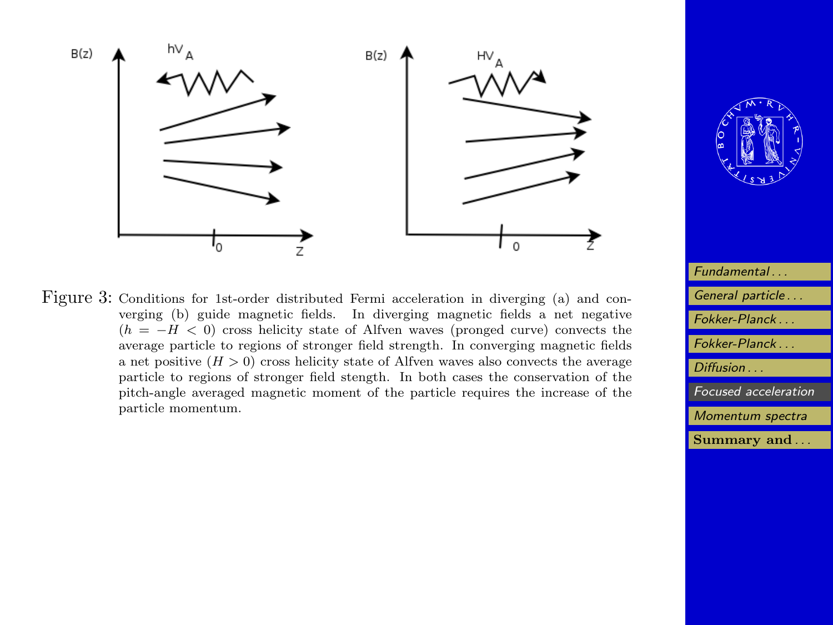





| Fundamental          |
|----------------------|
| General particle     |
| Fokker-Planck        |
| Fokker-Planck        |
| $Diffusion$          |
| Focused acceleration |
| Momentum spectra     |
| Summary and          |
|                      |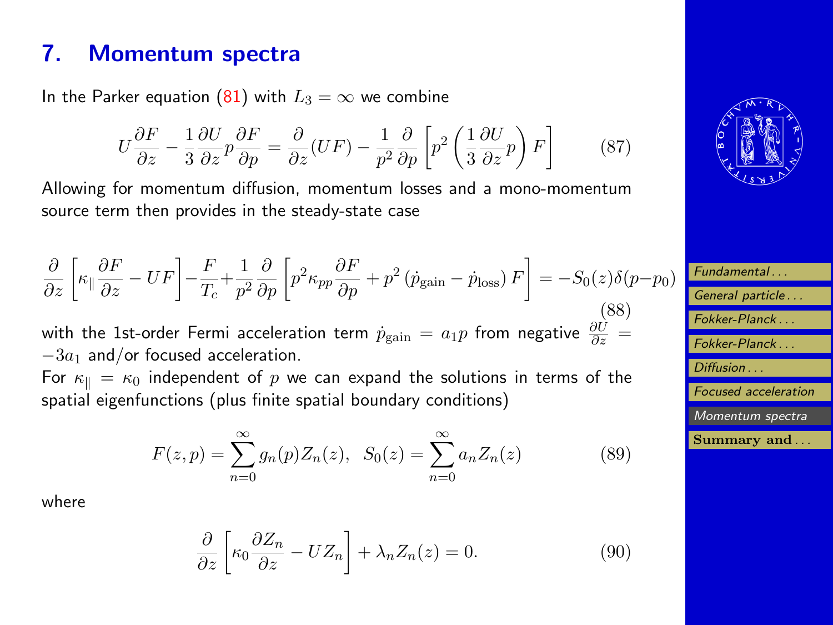# <span id="page-44-0"></span>7. Momentum spectra

In the Parker equation [\(81\)](#page-38-0) with  $L_3 = \infty$  we combine

$$
U\frac{\partial F}{\partial z} - \frac{1}{3}\frac{\partial U}{\partial z}p\frac{\partial F}{\partial p} = \frac{\partial}{\partial z}(UF) - \frac{1}{p^2}\frac{\partial}{\partial p}\left[p^2\left(\frac{1}{3}\frac{\partial U}{\partial z}p\right)F\right] \tag{87}
$$

Allowing for momentum diffusion, momentum losses and a mono-momentum source term then provides in the steady-state case

$$
\frac{\partial}{\partial z} \left[ \kappa_{\parallel} \frac{\partial F}{\partial z} - UF \right] - \frac{F}{T_c} + \frac{1}{p^2} \frac{\partial}{\partial p} \left[ p^2 \kappa_{pp} \frac{\partial F}{\partial p} + p^2 \left( \dot{p}_{\text{gain}} - \dot{p}_{\text{loss}} \right) F \right] = -S_0(z) \delta(p - p_0)
$$
\n(88)

\nwith the 1st-order Fermi acceleration term  $\dot{p}_{\text{gain}} = a_1 p$  from negative  $\frac{\partial U}{\partial z} = -3a_1$  and/or focused acceleration.

\nFor  $\kappa_{\parallel} = \kappa_0$  independent of  $p$  we can expand the solutions in terms of the

spatial eigenfunctions (plus finite spatial boundary conditions)

$$
F(z,p) = \sum_{n=0}^{\infty} g_n(p) Z_n(z), \quad S_0(z) = \sum_{n=0}^{\infty} a_n Z_n(z)
$$
 (89)

where

$$
\frac{\partial}{\partial z} \left[ \kappa_0 \frac{\partial Z_n}{\partial z} - U Z_n \right] + \lambda_n Z_n(z) = 0. \tag{90}
$$



| Fundamental                 |
|-----------------------------|
| General particle            |
| Fokker-Planck               |
| Fokker-Planck               |
| Diffusion                   |
| <b>Focused</b> acceleration |
| Momentum spectra            |
| Summary and                 |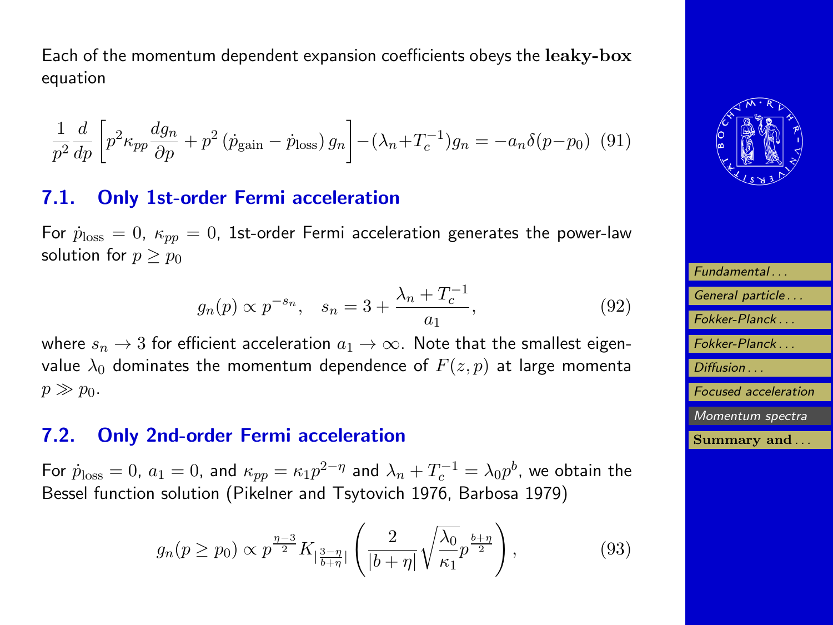<span id="page-45-0"></span>Each of the momentum dependent expansion coefficients obeys the leaky-box equation

$$
\frac{1}{p^2}\frac{d}{dp}\left[p^2\kappa_{pp}\frac{dg_n}{\partial p} + p^2\left(\dot{p}_{\text{gain}} - \dot{p}_{\text{loss}}\right)g_n\right] - \left(\lambda_n + T_c^{-1}\right)g_n = -a_n\delta(p - p_0) \tag{91}
$$

### 7.1. Only 1st-order Fermi acceleration

For  $\dot{p}_{loss} = 0$ ,  $\kappa_{pp} = 0$ , 1st-order Fermi acceleration generates the power-law solution for  $p \geq p_0$ 

$$
g_n(p) \propto p^{-s_n}, \quad s_n = 3 + \frac{\lambda_n + T_c^{-1}}{a_1}, \tag{92}
$$

where  $s_n \to 3$  for efficient acceleration  $a_1 \to \infty$ . Note that the smallest eigenvalue  $\lambda_0$  dominates the momentum dependence of  $F(z, p)$  at large momenta  $p \gg p_0$ .

#### 7.2. Only 2nd-order Fermi acceleration

For  $\dot{p}_{\rm loss}=0$ ,  $a_1=0$ , and  $\kappa_{pp}=\kappa_1 p^{2-\eta}$  and  $\lambda_n+T_c^{-1}=\lambda_0 p^{b}$ , we obtain the Bessel function solution (Pikelner and Tsytovich 1976, Barbosa 1979)

$$
g_n(p \ge p_0) \propto p^{\frac{\eta - 3}{2}} K_{|\frac{3-\eta}{b+\eta}|} \left( \frac{2}{|b+\eta|} \sqrt{\frac{\lambda_0}{\kappa_1}} p^{\frac{b+\eta}{2}} \right), \tag{93}
$$



| Fundamental                 |
|-----------------------------|
| General particle            |
| Fokker-Planck               |
| Fokker-Planck               |
| Diffusion                   |
| <b>Focused</b> acceleration |
| Momentum spectra            |
| Summary and                 |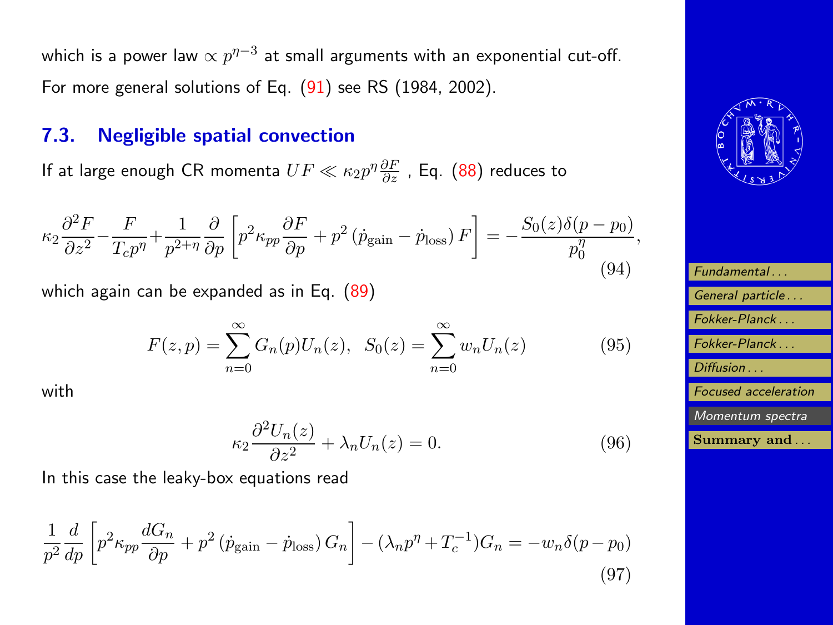which is a power law  $\propto p^{\eta-3}$  at small arguments with an exponential cut-off. For more general solutions of Eq. [\(91\)](#page-45-0) see RS (1984, 2002).

### 7.3. Negligible spatial convection

If at large enough CR momenta  $UF\ll \kappa_2p^{\eta}\frac{\partial F}{\partial z}$  , Eq.  $(88)$  reduces to

$$
\kappa_2 \frac{\partial^2 F}{\partial z^2} - \frac{F}{T_c p^{\eta}} + \frac{1}{p^{2+\eta}} \frac{\partial}{\partial p} \left[ p^2 \kappa_{pp} \frac{\partial F}{\partial p} + p^2 \left( \dot{p}_{\text{gain}} - \dot{p}_{\text{loss}} \right) F \right] = -\frac{S_0(z)\delta(p - p_0)}{p_0^{\eta}},\tag{94}
$$

which again can be expanded as in Eq. [\(89\)](#page-44-0)

$$
F(z,p) = \sum_{n=0}^{\infty} G_n(p) U_n(z), \quad S_0(z) = \sum_{n=0}^{\infty} w_n U_n(z)
$$
 (95)

with

$$
\kappa_2 \frac{\partial^2 U_n(z)}{\partial z^2} + \lambda_n U_n(z) = 0. \tag{96}
$$

In this case the leaky-box equations read

$$
\frac{1}{p^2}\frac{d}{dp}\left[p^2\kappa_{pp}\frac{dG_n}{\partial p} + p^2\left(\dot{p}_{\text{gain}} - \dot{p}_{\text{loss}}\right)G_n\right] - \left(\lambda_n p^\eta + T_c^{-1}\right)G_n = -w_n\delta(p - p_0)
$$
\n(97)



| Fundamental                 |
|-----------------------------|
| General particle            |
| Fokker-Planck               |
| Fokker-Planck               |
| Diffusion                   |
| <b>Focused</b> acceleration |
| Momentum spectra            |
| Summary and                 |